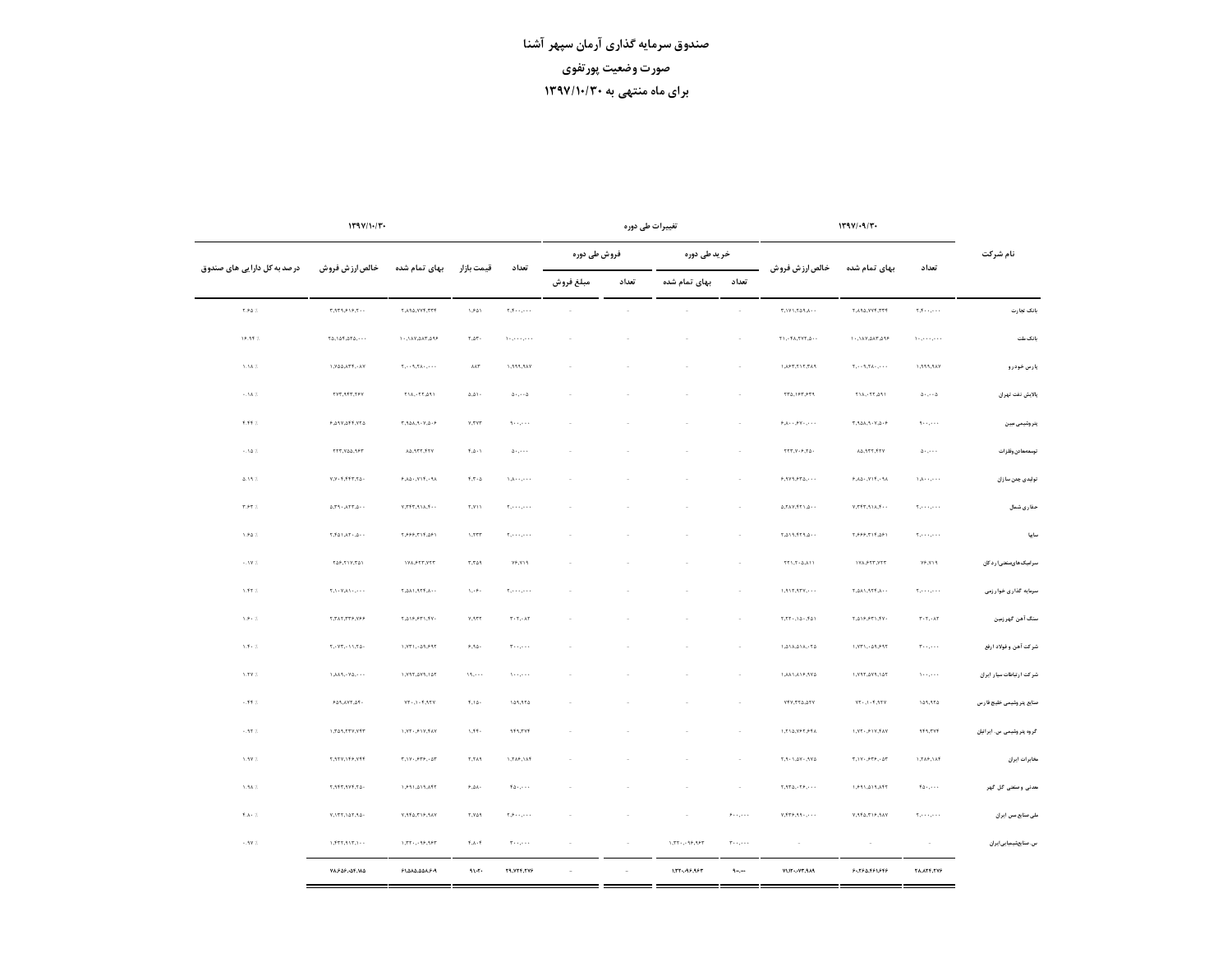|                             | 1794/19/7                                                                     |                                                                                              | 179V/1.7.<br>تغییرات طی دوره                                                                                                                                                                                                                                                                                                                                                                                                                                              |                          |                  |                          |              |                                                                                      |                                                |                                                                                         |                                                                                                                                                                                                                                                                                                                                                                                                                                                                                                                                                                                                   |                                            |
|-----------------------------|-------------------------------------------------------------------------------|----------------------------------------------------------------------------------------------|---------------------------------------------------------------------------------------------------------------------------------------------------------------------------------------------------------------------------------------------------------------------------------------------------------------------------------------------------------------------------------------------------------------------------------------------------------------------------|--------------------------|------------------|--------------------------|--------------|--------------------------------------------------------------------------------------|------------------------------------------------|-----------------------------------------------------------------------------------------|---------------------------------------------------------------------------------------------------------------------------------------------------------------------------------------------------------------------------------------------------------------------------------------------------------------------------------------------------------------------------------------------------------------------------------------------------------------------------------------------------------------------------------------------------------------------------------------------------|--------------------------------------------|
| نام شرکت                    |                                                                               |                                                                                              |                                                                                                                                                                                                                                                                                                                                                                                                                                                                           |                          | خر ید طی دوره    |                          | فروش طی دورہ |                                                                                      |                                                |                                                                                         |                                                                                                                                                                                                                                                                                                                                                                                                                                                                                                                                                                                                   |                                            |
|                             | تعداد                                                                         | بهای تمام شده                                                                                | خالص ارز ش فروش                                                                                                                                                                                                                                                                                                                                                                                                                                                           | تعداد                    | بهای تمام شده    | تعداد                    | مبلغ فروش    | تعداد                                                                                | قیمت بازار                                     | بهای تمام شده                                                                           | خالص ارزش فروش                                                                                                                                                                                                                                                                                                                                                                                                                                                                                                                                                                                    | در صد به کل دارا یی های صندوق              |
| بانک تجارت                  | $\mathbf{y},\mathbf{y},\ldots,\mathbf{y},\mathbf{y}$                          | <b>T.ARA.YYF.TTT</b>                                                                         | $\tau, \forall Y \wedge \tau \wedge \theta, \wedge \cdot \cdot$                                                                                                                                                                                                                                                                                                                                                                                                           | $\sim$                   | $\sim$           | $\sim$                   |              | $\Upsilon_1 \Upsilon_2 \cdots \Upsilon_n \cdots$                                     | 1.541                                          | <b>T.ARA, YVT, TTT</b>                                                                  | T, 9T9, 919, 7                                                                                                                                                                                                                                                                                                                                                                                                                                                                                                                                                                                    | $\mathbf{Y}, \mathbf{F} \Delta$ %          |
| بانک ملت                    | $\chi_{\sigma\sigma}$ , $\chi_{\sigma}$ , $\chi_{\sigma}$ , $\chi_{\sigma}$   | ٩٩٥, ٣٨٥, ١٨٧, ٠١٠                                                                           | Y1, Y4, YY7, 0.                                                                                                                                                                                                                                                                                                                                                                                                                                                           | $\sim$                   |                  |                          |              | $\mathcal{H}(\mathcal{L}_1,\mathcal{L}_2,\mathcal{L}_3,\mathcal{L}_4,\mathcal{L}_5)$ | $\mathbf{r}.\mathbf{a}\mathbf{r}$ .            | <b>٩٩٥, ٣٨٥, ٧٨٢, ٠١</b>                                                                | $\mathbf{Y} \triangle \mathbf{A} \triangle \mathbf{Y} \triangle \mathbf{Y} \triangle \mathbf{Y} \triangle \mathbf{Y} \triangle \mathbf{Y} \triangle \mathbf{Y} \triangle \mathbf{Y} \triangle \mathbf{Y} \triangle \mathbf{Y} \triangle \mathbf{Y} \triangle \mathbf{Y} \triangle \mathbf{Y} \triangle \mathbf{Y} \triangle \mathbf{Y} \triangle \mathbf{Y} \triangle \mathbf{Y} \triangle \mathbf{Y} \triangle \mathbf{Y} \triangle \mathbf{Y} \triangle \mathbf{Y} \triangle \mathbf{Y} \triangle \mathbf{Y} \triangle \mathbf{Y} \triangle \mathbf{Y} \triangle \mathbf{Y} \triangle \mathbf{$ | 18.99%                                     |
| پارس خودرو                  | $\forall \mathbf{A} \mathbf{P}, \mathbf{P} \mathbf{P} \mathbf{P}, \mathbf{I}$ | $\tau_1, \ldots \tau_r, \tau_{\Lambda}, \ldots$ .                                            | ١,٨۶٣,٢١٢,٣٨٩                                                                                                                                                                                                                                                                                                                                                                                                                                                             | $\sim$                   | ÷                |                          |              | VAP, PPP, I                                                                          | $\lambda\Lambda\Upsilon$                       | $\mathbf{Y}_1, \cdots, \mathbf{Y}_n, \mathbf{Y}_n, \cdots, \mathbf{Y}_n$                | 1.Y۵۵,ATT, - AV                                                                                                                                                                                                                                                                                                                                                                                                                                                                                                                                                                                   | 1.1A%                                      |
| يالايش نفت تهران            | $\Delta$ - , - - $\Delta$                                                     | $Y1A, YY, \Delta 91$                                                                         | ٢٣٥,١۶٣,۶٣٩                                                                                                                                                                                                                                                                                                                                                                                                                                                               | $\sim$                   |                  |                          |              | $\Delta$ - , - - $\Delta$                                                            | $\Delta, \Delta$ ) -                           | $r_{1A}, r_{1}r_{2A1}$                                                                  | ٢٧٣,٩۴٣,٢۶٧                                                                                                                                                                                                                                                                                                                                                                                                                                                                                                                                                                                       | $\sim$ 1 A $\%$                            |
| پتر وشیمی میبن              | ٠٠، ب١٠                                                                       | $\forall \mathbf{0.4.4.7.7.2.9}$                                                             | $\mathfrak{s}_*\!\!\mathstrut_{\lambda}\!\!\mathstrut_{\lambda}\!\!\mathfrak{s}_*\!\!\mathfrak{g}_*\!\!\mathfrak{g}_*\!\!\mathfrak{g}_*\!\!\mathfrak{g}_*\!\!\mathfrak{g}_*\!\!\mathfrak{g}_*\!\!\mathfrak{g}_*\!\!\mathfrak{g}_*\!\!\mathfrak{g}_*\!\!\mathfrak{g}_*\!\!\mathfrak{g}_*\!\!\mathfrak{g}_*\!\!\mathfrak{g}_*\!\!\mathfrak{g}_*\!\!\mathfrak{g}_*\!\!\mathfrak{g}_*\!\!\mathfrak{g}_*\!\!\mathfrak{g}_*\!\!\mathfrak{g}_*\!\!\mathfrak{g}_*\!\!\mathfrak{g$ | $\sim$                   |                  |                          |              | $\theta_1, \ldots, \theta_n$                                                         | Y, YYY                                         | $\forall \ \Lambda \Lambda \Lambda \Lambda \cdot \mathsf{Y} \Lambda \cdot \mathsf{S}$   | $6.097.097.770$                                                                                                                                                                                                                                                                                                                                                                                                                                                                                                                                                                                   | $7.77\,\%$                                 |
| توسعهمادن وفلزات            | $\Delta$ - $\ldots$                                                           | AΔ, 9.TT, TTV                                                                                | $\forall Y Y,Y\cdot \hat{r},Y\Delta$                                                                                                                                                                                                                                                                                                                                                                                                                                      | $\sim$                   |                  |                          |              | $\Delta$ - , - - -                                                                   | $\mathbf{f} \cdot \Delta \cdot \mathbf{1}$     | A۵,۹۳۲,۴۲۷                                                                              | ٢٢٣,٧٥٥,٩۶٣                                                                                                                                                                                                                                                                                                                                                                                                                                                                                                                                                                                       | $\sim 1\Delta$ %                           |
| تولیدی چدن سازان            | $\cdot \cdot \cdot, \cdot \cdot \wedge, \cdot \cdot$                          | $\mathcal{S} \rightarrow \Delta \Delta$ - $\mathcal{N} \land \mathcal{V}$ - $\Delta \Lambda$ | $\mathfrak{p}_*\mathfrak{q}_*\mathfrak{p}_*\mathfrak{p}_*\mathfrak{q}_*\ldots$                                                                                                                                                                                                                                                                                                                                                                                            | $\overline{\phantom{a}}$ |                  |                          |              | $1, \lambda \cdot \cdot \cdot, \cdot \cdot \cdot$                                    | $\tau, \tau \cdot \Delta$                      | $\mathcal{AP} \cdot \mathcal{AP} \cdot \mathcal{V} \cap \mathcal{V} \cdot \mathcal{AP}$ | $Y,Y$ - ۴,۴۴۳,۲۵۰                                                                                                                                                                                                                                                                                                                                                                                                                                                                                                                                                                                 | 0.19%                                      |
| حفاري شمال                  | $\tau_1, \ldots, \ldots$                                                      | $Y, Y \nvdash r, A \wedge A, T \cdots$                                                       | $\Delta, \Upsilon \wedge \Upsilon, \Upsilon \Upsilon \Upsilon, \Delta \cdot \cdot$                                                                                                                                                                                                                                                                                                                                                                                        | $\sim$                   |                  |                          |              | $\gamma_1, \ldots, \ldots$                                                           | ۲٫۷۱۱                                          | 4.7777, 91A, 7.7.7                                                                      | $\Delta, \Gamma$ ٩ - $\Lambda$ ٢٣, $\Delta$ - -                                                                                                                                                                                                                                                                                                                                                                                                                                                                                                                                                   | $\tau, \mathfrak{S} \tau$ %                |
| سايبا                       | $\mathbb{Y}_1,\cdots,\mathbb{Y}_N$ .                                          | ۶۶۶۶٬۳۱۴٬۵۶۱                                                                                 | $Y, 0 1 9, 7 7 9, 0 -$                                                                                                                                                                                                                                                                                                                                                                                                                                                    | $\sim$                   |                  |                          |              | $\tau_1,\ldots,\ldots$                                                               | 1,777                                          | ۶٫۶۶۶٫۳۱۴٫۵۶۱                                                                           | $\tau, \tau \Delta \setminus \Lambda \tau \cdot \Delta \cdot \cdot$                                                                                                                                                                                                                                                                                                                                                                                                                                                                                                                               | $1.84\%$                                   |
| سر لفیک های صنعتی ارد کان   | $Y \in Y \setminus Y$                                                         | <b><i>IVA, ۶۲۳, ۷۲۳</i></b>                                                                  | $\uparrow\uparrow\uparrow,\uparrow\uparrow\uparrow\downarrow$                                                                                                                                                                                                                                                                                                                                                                                                             | $\sim$                   |                  |                          |              | $Y \hat{r}$ , $Y \hat{r} \hat{r}$                                                    | 7,709                                          | <b><i>IVA, ۶۲۳, ۷۲۳</i></b>                                                             | $Y\Delta P, Y \Delta Y, Y\Delta Y$                                                                                                                                                                                                                                                                                                                                                                                                                                                                                                                                                                | $-119%$                                    |
| سرمایه گذاری خوارزمی        | $\mathbb{Y}_1,\cdots,\cdots$ .                                                | $\cdot \cdot \lambda, \dagger \uparrow \uparrow, \uparrow \Lambda \Delta, \uparrow$          | $1, 917, 777, \cdots$                                                                                                                                                                                                                                                                                                                                                                                                                                                     | $\sim$                   |                  |                          |              | $\mathbf{Y}_1, \cdots, \mathbf{Y}_n$ .                                               | $1.79 -$                                       | $\cdot \cdot \wedge \cdot \wedge \wedge \wedge \wedge \wedge \wedge \wedge$             | $\Upsilon, \Upsilon, \Upsilon, \Lambda, \Upsilon, \ldots$                                                                                                                                                                                                                                                                                                                                                                                                                                                                                                                                         | $1.77\,\%$                                 |
| سنگ آهن گهرزمین             | $\mathbf{r} \cdot \mathbf{r} \cdot \mathbf{A} \mathbf{r}$                     | ٢,٥١۶,۶٣١,۴٧٠                                                                                | $Y, YY-, Y_{\Delta}$ . 14)                                                                                                                                                                                                                                                                                                                                                                                                                                                | $\sim$                   |                  |                          |              | $\tau \cdot \tau$ . At                                                               | Y,9.77                                         | ٢,٥١۶,۶٣١,۴٧٠                                                                           | ٢,٣٨٢,٣٣۶,٧۶۶                                                                                                                                                                                                                                                                                                                                                                                                                                                                                                                                                                                     | $1.9 - 7.$                                 |
| شركت آهن و فولاد ارفع       | $\tau\mapsto\ldots\tau$                                                       | 1, 1, 1, 0, 0, 9, 17                                                                         | ٢٥- ١٨/٥٨/٥١٨                                                                                                                                                                                                                                                                                                                                                                                                                                                             | $\sim$                   |                  |                          |              | $\tau \cdots$                                                                        | $6.90 \cdot$                                   | 1, 1, 1, 0, 9, 91                                                                       | $\Upsilon, \cdot \Upsilon \Upsilon, \cdot \Upsilon \Upsilon, \Upsilon \Delta$ .                                                                                                                                                                                                                                                                                                                                                                                                                                                                                                                   | $\Lambda, \overline{\tau} \in \mathcal{V}$ |
| شرکت ارتباطات سیار ایران    | $\mathcal{N} \leftarrow \mathcal{N} \leftarrow \mathcal{N}$                   | ١.٧٩٢,٥٧٩,١٥٢                                                                                | 1, AA1, A19, 976                                                                                                                                                                                                                                                                                                                                                                                                                                                          | $\sim$                   |                  |                          |              | $\lambda$                                                                            | $19, \cdots$                                   | 1.797.079.107                                                                           | $1, \lambda \lambda 9, \cdot \Upsilon \Delta, \cdot \cdot \cdot$                                                                                                                                                                                                                                                                                                                                                                                                                                                                                                                                  | 1.TY %                                     |
| صنايع يتروشيمي خليج فارس    | 109,970                                                                       | $\forall \Upsilon\cdot\lrcorner\setminus\cdot\Upsilon, \Upsilon\Upsilon\Upsilon$             | $YYY,YY\Delta,\Delta YY$                                                                                                                                                                                                                                                                                                                                                                                                                                                  | $\overline{\phantom{a}}$ |                  |                          |              | 079,970                                                                              | $\mathbf{t} \cdot \mathbf{0}$ .                | $\forall \Upsilon \cdot . \wedge \cdot \Upsilon, \Upsilon \Upsilon$                     | $\mathcal{F}\Delta\mathfrak{A},\mathsf{AVY},\Delta\mathfrak{F}$ .                                                                                                                                                                                                                                                                                                                                                                                                                                                                                                                                 | $-19.7\%$ %                                |
| گر وہ پتر وشیمی س. ایرائیان | <b><i>AFR,TVP</i></b>                                                         | $1.77 - 517.747$                                                                             | ١,٢١٥,٧۶٢,۶۴٨                                                                                                                                                                                                                                                                                                                                                                                                                                                             | $\sim$                   |                  |                          |              | <b><i>ATRATY</i></b>                                                                 | $1.77 -$                                       | $1.77 - 517.747$                                                                        | 1,705,777,777                                                                                                                                                                                                                                                                                                                                                                                                                                                                                                                                                                                     | $\sim 9.7$ %                               |
| مخابرات ايران               | <b><i>LTAP, LAT</i></b>                                                       | $\Upsilon, \Upsilon \Vdash \mathcal{F} \Upsilon \mathcal{F}, \cdot \Delta \Upsilon$          | $\Delta \forall P, \cdot \forall \Delta, I \cdot P, \forall$                                                                                                                                                                                                                                                                                                                                                                                                              | $\sim$                   |                  |                          |              | $1.7A9.1A9$                                                                          | $\mathit{PA7.7}$                               | $\tau, \operatorname{TV} \cdot . \circ \tau \circ . \cdot \Delta \tau$                  | ٢,٩٢٧,١۴۶,٧۴۴                                                                                                                                                                                                                                                                                                                                                                                                                                                                                                                                                                                     | 1.99%                                      |
| عدنی وصفتی گل گهر           | $*$ $\triangle$ $\cdot$ $\cdot$ $\cdot$ $\cdot$                               | ١,۶٩١,٥١٩,٨۴٢                                                                                | $\Upsilon, \Upsilon \Gamma \Delta, \cdot \Upsilon \mathcal{P}, \cdot \cdot \cdot$                                                                                                                                                                                                                                                                                                                                                                                         | $\sim$                   |                  |                          |              | $*$ $\triangle$ $\cdot$ $\cdot$ $\cdot$ $\cdot$                                      | $9.24 -$                                       | ١,۶٩١,٥١٩,٨۴٢                                                                           | $r, 977, 977, 7\Delta$                                                                                                                                                                                                                                                                                                                                                                                                                                                                                                                                                                            | 1.5A%                                      |
| ملی صنایع مس ایران          | $\mathbf{Y}_1,\ldots,\mathbf{Y}_n$ .                                          | V, 970, 719, 9A V                                                                            | $v_1 v_1 v_2 v_3 v_4 \ldots$                                                                                                                                                                                                                                                                                                                                                                                                                                              | $\mathfrak{s}\ldots$ ,   | $\sim$           |                          |              | $\mathbf{Y},\mathbf{P}\leftrightarrow\mathbf{P}$ , $\cdots$                          | $\mathbf{r}.\mathbf{v} \mathbf{a} \mathbf{q}$  | $\forall \lambda P, \forall I \Upsilon, \Delta \Upsilon P, \forall V$                   | $\forall, \forall \forall \forall, \exists \Delta \forall, \forall \Delta \cdot$                                                                                                                                                                                                                                                                                                                                                                                                                                                                                                                  | $\mathbf{t}.\mathbf{A} \cdot~\!$           |
| س. صنایعشیمیایی ایران       | $\sim$                                                                        | $\sim$                                                                                       | $\sim$                                                                                                                                                                                                                                                                                                                                                                                                                                                                    | $\tau$                   | $1.77 - 199.997$ | $\sim$                   |              | $\tau\mapsto\varphi\mapsto\tau$                                                      | $\mathbf{f} \cdot \mathbf{A} \cdot \mathbf{f}$ | $1.77 - - 39.397$                                                                       | 1.717, 117, 1                                                                                                                                                                                                                                                                                                                                                                                                                                                                                                                                                                                     | $\sim 9\,\mathrm{V}$ %                     |
|                             | <b>TA.ATF.TV9</b>                                                             | 94.890.891.989                                                                               | <b>PAP.7V.AVV</b>                                                                                                                                                                                                                                                                                                                                                                                                                                                         | $\ddot{\mathbf{q}}$      | <b>LTT-APAPT</b> | $\overline{\phantom{a}}$ |              | <b>TR.VTF.TVS</b>                                                                    | 91.47.                                         | 91.040.004.9-9                                                                          | ٢٨,۶۵۶,٠۵۴,١٨٥                                                                                                                                                                                                                                                                                                                                                                                                                                                                                                                                                                                    |                                            |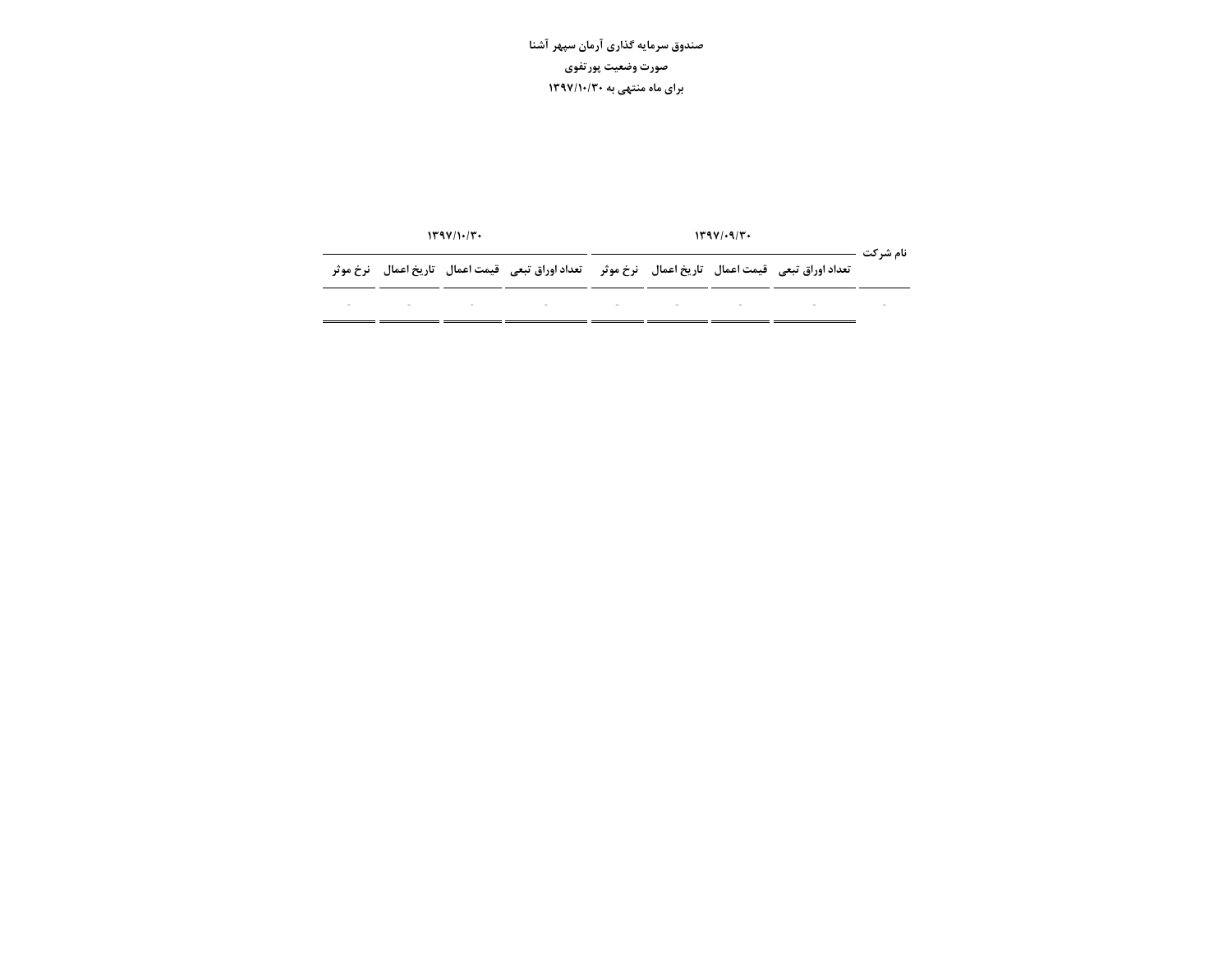|  | 1499/1.77 |                                                                                                                | 1491.97 |  |  |  |          |  |  |
|--|-----------|----------------------------------------------------------------------------------------------------------------|---------|--|--|--|----------|--|--|
|  |           | تعداد اوراق تبعی۔قیمت اعمال۔ تاریخ اعمال۔ نرخ موثر۔۔تعداد اوراق تبعی۔قیمت اعمال۔ تاریخ اعمال۔ نرخ موثر         |         |  |  |  | نام شرکت |  |  |
|  |           | 그 사이에 대한 그는 그 사이에 대한 사이에 대한 사이를 하고 있다. 그는 그 사이에게 대한 사이에 대한 사이에 대한 사이에 대한 사이에 대한 사이에 대한 사이에 대한 사이에 대한 사이에 대한 사이 |         |  |  |  |          |  |  |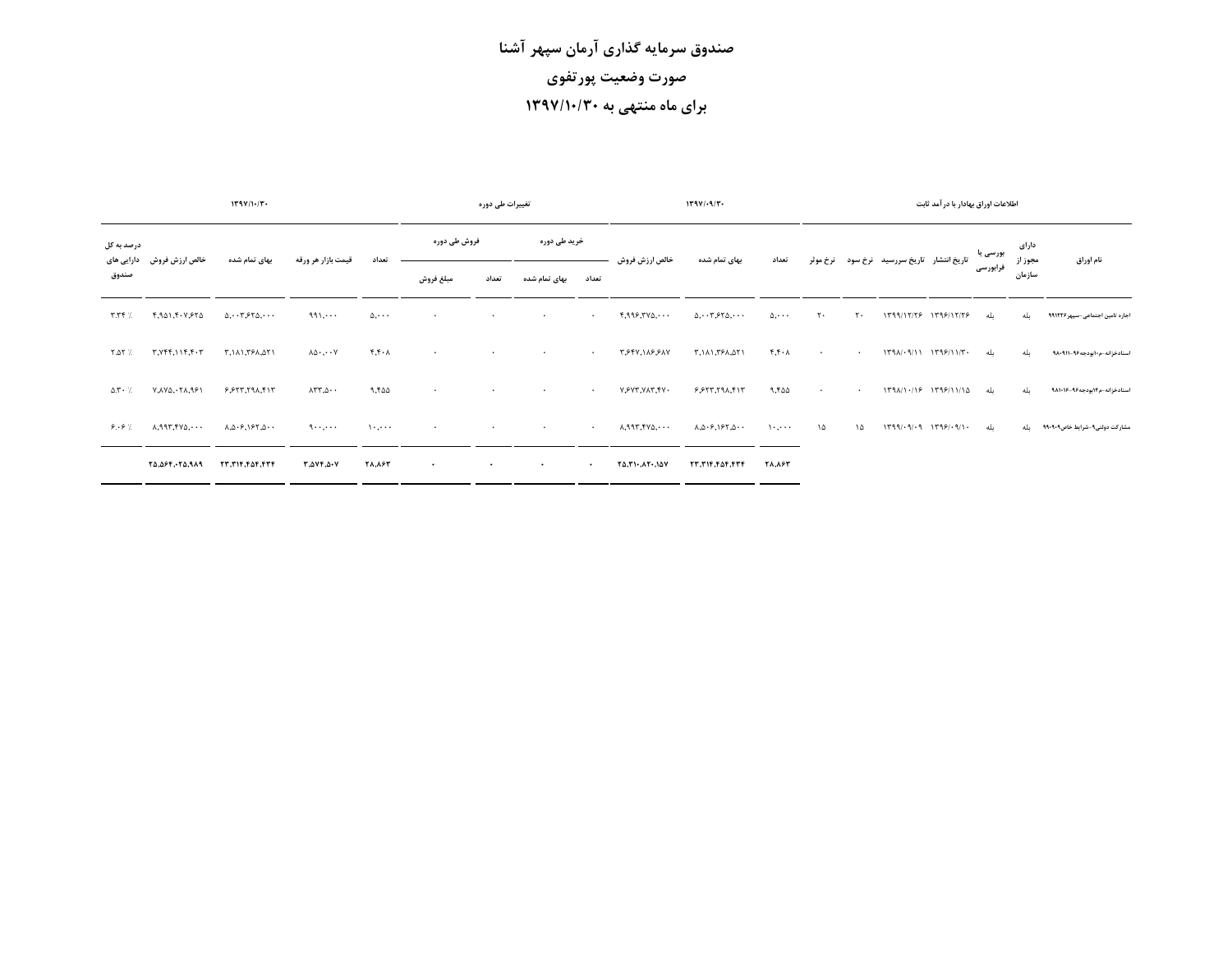|                                |                               | 119111.77                                                                                            |                                                 |               |              | تغییرات طی دورہ |               |           |                       | $1191$ / $-9/7$                                                              |               |                |           |                                   | اطلاعات اوراق بهادار با در آمد ثابت |          |                  |                                   |
|--------------------------------|-------------------------------|------------------------------------------------------------------------------------------------------|-------------------------------------------------|---------------|--------------|-----------------|---------------|-----------|-----------------------|------------------------------------------------------------------------------|---------------|----------------|-----------|-----------------------------------|-------------------------------------|----------|------------------|-----------------------------------|
| درصد به کل                     | خالص ارزش فروش دارایی های     | بهای تمام شده                                                                                        | قيمت بازار هر ورقه                              | تعداد         | فروش طی دورہ |                 | خرید طی دورہ  |           | خالص ارزش فروش        | بهای تمام شده                                                                | تعداد         | نرخ موثر       |           | تاریخ انتشار تاریخ سررسید نرخ سود |                                     | بورسی یا | دارای<br>مجوز از | نام اوراق                         |
| صندوق                          |                               |                                                                                                      |                                                 |               | مبلغ فروش    | تعداد           | بهای تمام شده | تعداد     |                       |                                                                              |               |                |           |                                   |                                     | فرابورسى | سازمان           |                                   |
| $T.T$ $f$ $\frac{7}{1}$        | ٢,٩۵١,٢٠٧,۶٢۵                 | $0, \cdots$ $550, \cdots$                                                                            | ۹۹۱.۰۰۰                                         | $\Delta$      | $\cdot$      | $\cdot$         | $\bullet$     | $\cdot$   | f.999.7V0             | $0, \cdot \cdot 7, 570, \cdot \cdot \cdot$                                   | $\Delta$      | ٢.             | ٢٠        |                                   | $1799/17/75$ $1795/17/75$           | ىلە      | ىلە              | اجاره تامین اجتماعی-سپهر ۹۹۱۲۲۶   |
| .7. AT %                       | $T, Yff, 11f, f \cdot T$      | ٢,١٨١,٣۶٨,٥٢١                                                                                        | $\lambda \Delta \cdot , \cdot \cdot \mathrm{Y}$ | $f.f.\lambda$ | $\bullet$    | $\bullet$       | $\cdot$       | $\sim$    | 3944,189,788          | ٣,١٨١,٣۶٨,٥٢١                                                                | $f.f.\lambda$ | $\cdot$        | $\cdot$   | 1791/19/11 1799/11/7              |                                     | ىلە      | ىلە              | اسنادخزانه-م۱۰یودجه۹۶-۹۸۰۹۱۱      |
| $\Delta$ . $\mathbf{Y}$ + $\%$ | ۲٫۸۷۵٬۰۲۸٬۹۶۱                 | $9.917.79A.$ FIT                                                                                     | $\Lambda$ ۳۳, $\Delta$ ۰۰                       | 9.500         | $\bullet$    | $\bullet$       | $\cdot$       | $\bullet$ | V. FVT. VAT. FV.      | 55577,791,717                                                                | 9,400         | $\blacksquare$ | $\bullet$ | 1791/1.18 1799/11/10              |                                     | ىلە      | ىلە              | استادخزاته-م۱۴بودجه۹۶-۹۸۱۰۱۶      |
| 9.87                           | $\lambda,$ 997, 478, $\cdots$ | $\lambda, \Delta$ $\cdot$ $\beta, \Delta$ $\cdot$ $\cdot$                                            | $9 \cdots$                                      | $\mathcal{N}$ | $\bullet$    | $\cdot$         | $\bullet$     | $\bullet$ | $\lambda$ , 997, 479, | $\lambda \ldots \lambda \cdot 5$ , $\lambda \cdot 5$ , $\lambda \cdot \cdot$ | $\mathcal{N}$ | ١۵             | ١۵        | $1799/-9/-9$ $1799/-9$            |                                     | ىلە      |                  | مشارکت دولتی۹-شرایط خاص۹۰۹۰۹۰ بله |
|                                | 20,064,074,974                | $\mathsf{TT}, \mathsf{T}\mathsf{IF}, \mathsf{F}\mathsf{a}\mathsf{F}, \mathsf{F}\mathsf{T}\mathsf{F}$ | $T, \Delta V F, \Delta V$                       | <b>TA,AFT</b> | $\bullet$    | $\bullet$       | $\bullet$     | $\bullet$ | 15.1117157            | 73,314,454,477                                                               | <b>TA.AFT</b> |                |           |                                   |                                     |          |                  |                                   |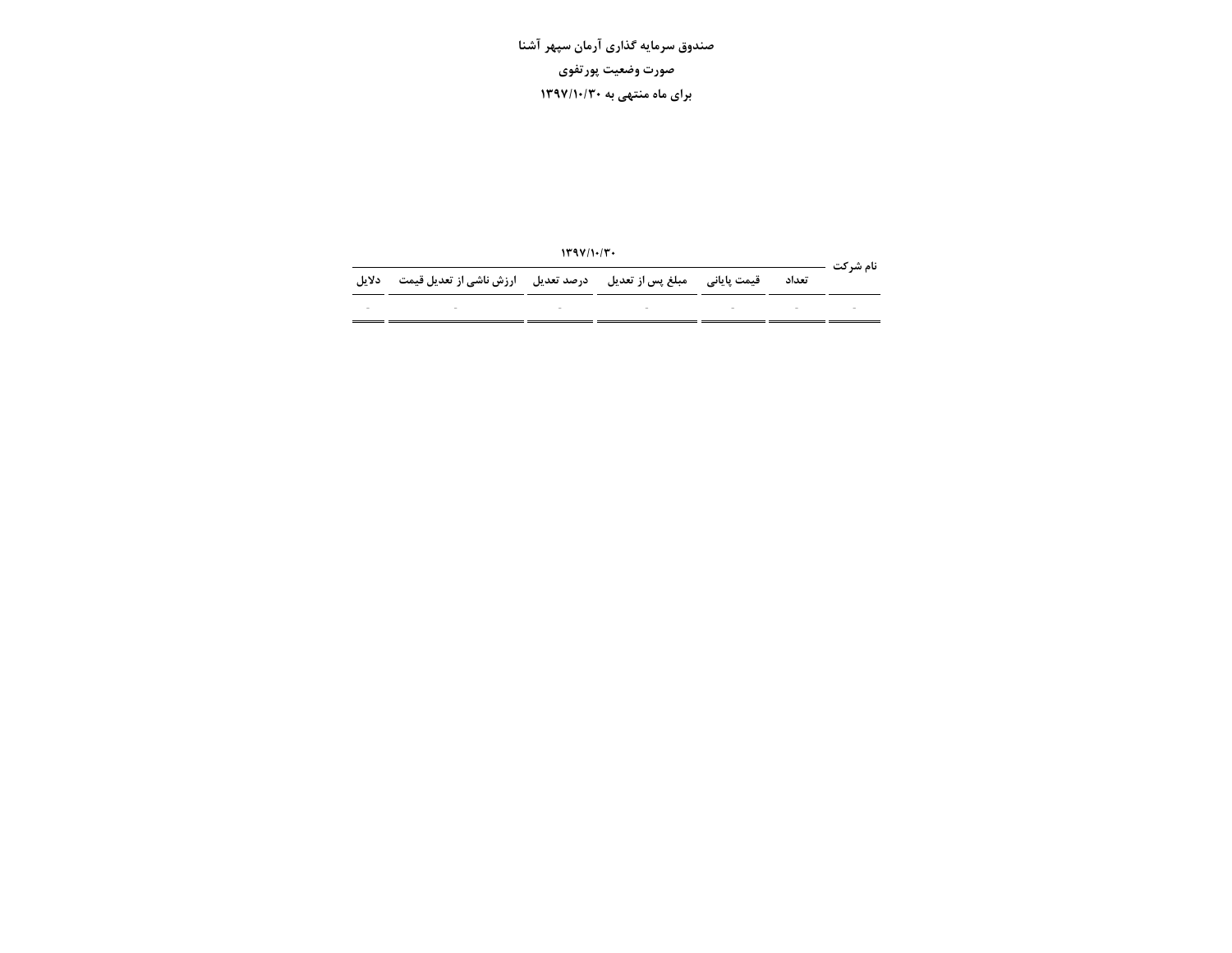|                          |                                                                                 | 149V/1.7V |  |       | نام شہ کت |
|--------------------------|---------------------------------------------------------------------------------|-----------|--|-------|-----------|
| دلانل                    | قیمت پایانی ۔ مبلغ پس از تعدیل ۔ درصد تعدیل ۔ ارزش ناشی از تعدیل قیمت           |           |  | تعداد |           |
| $\overline{\phantom{a}}$ | the contract of the contract of the contract of the contract of the contract of |           |  |       |           |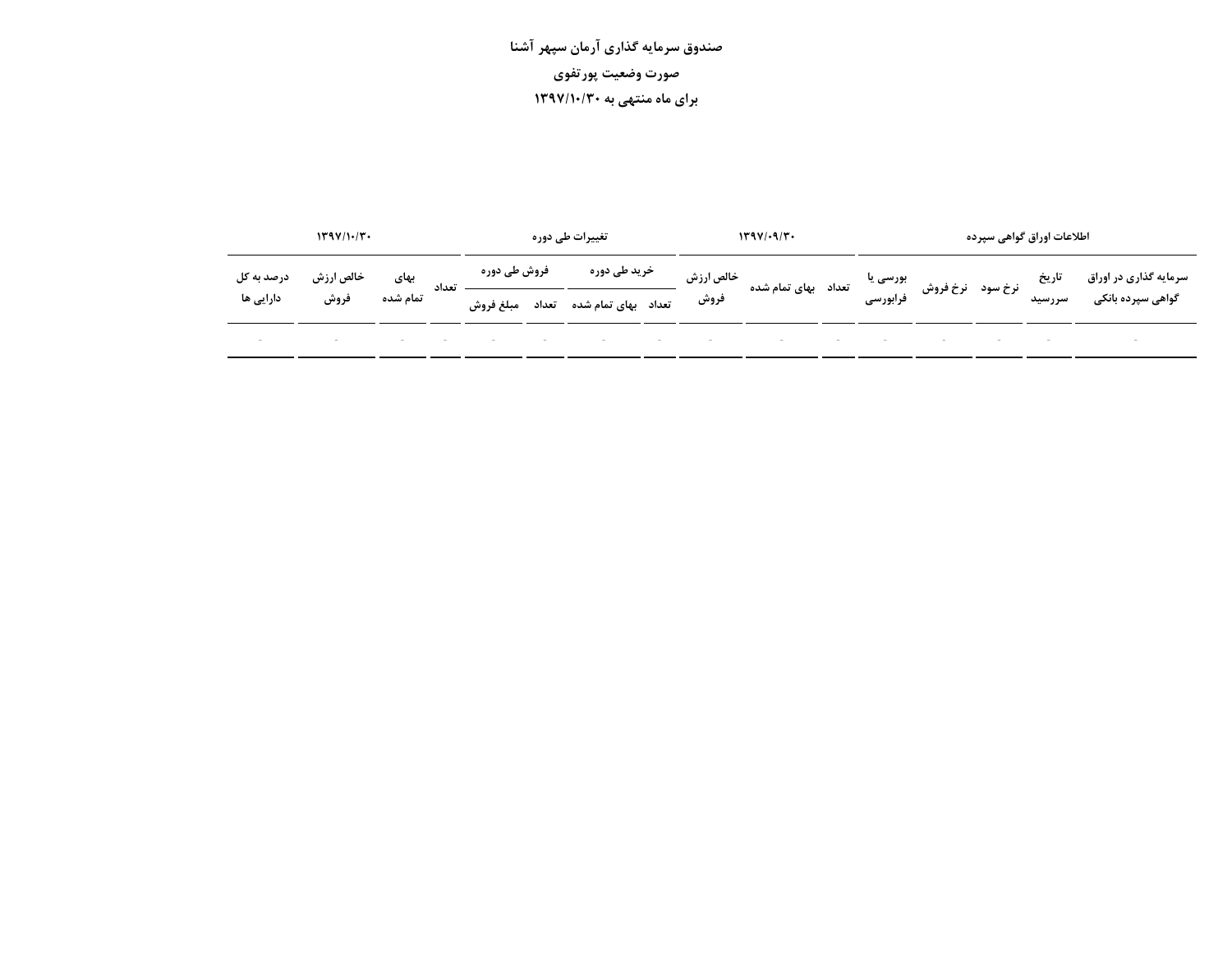|            | 1499/1.77 |          |       |              | تغییرات ط <i>ی</i> دورہ |                           | 1491.97   |                                                                                 |  | اطلاعات اوراق گواهی سپرده |  |  |        |                                            |
|------------|-----------|----------|-------|--------------|-------------------------|---------------------------|-----------|---------------------------------------------------------------------------------|--|---------------------------|--|--|--------|--------------------------------------------|
| درصد به کل | خالص ارزش | بهای     | تعداد | فروش طی دورہ |                         | خرید طی دورہ              | خالص ارزش | یت نرخ سود نرخ فروش بورسی یا<br>تاریخ سود نرخ فروش ورابورسی تعداد بهای تمام شده |  |                           |  |  |        | سرمایه گذاری در اوراق<br>گواهی سپرده بانکی |
| دارایی ها  | فروش      | تمام شده |       | مبلغ فروش    |                         | تعداد بهای تمام شده تعداد | فروش      |                                                                                 |  |                           |  |  | سررسيد |                                            |
|            |           |          |       |              |                         |                           |           |                                                                                 |  |                           |  |  |        |                                            |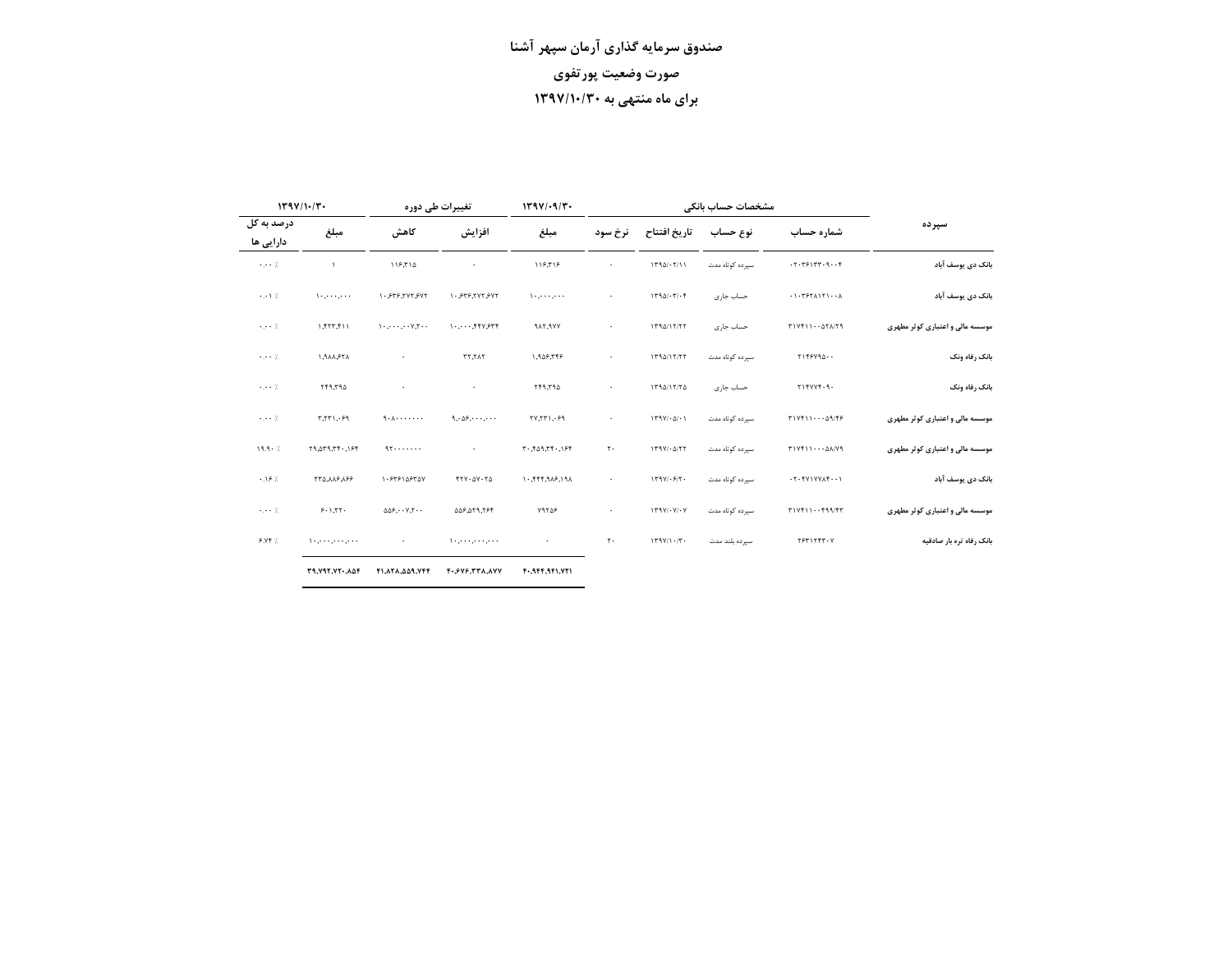|                         | 1191/1.7             | تغییرات طی دوره                                                     |                                    | 1494/19/7        | مشخصات حساب بانكى    |                             |                 |                             |                                 |
|-------------------------|----------------------|---------------------------------------------------------------------|------------------------------------|------------------|----------------------|-----------------------------|-----------------|-----------------------------|---------------------------------|
| درصد به کل<br>دارایی ها | مبلغ                 | كاهش                                                                | افزايش                             | مبلغ             | نرخ سود              | تاريخ افتتاح                | نوع حساب        | شماره حساب                  | سير ده                          |
| $\cdots$ 7.             | $\lambda$            | 119.710                                                             |                                    | 118,518          |                      | 1790/·7/11                  | سیرده کوتاه مدت | .7.791TT.9F                 | بانک دی یوسف آباد               |
| $\cdot \cdot \cdot$ 7.  |                      | 1.575.797.597                                                       | 1.575,797597                       |                  |                      | $1790/\cdot 7/\cdot 7$      | حساب جارى       | .1.557A171                  | بانک دی یوسف آباد               |
| $\cdot$ . $\cdot$ 7.    | 1.5777.11            |                                                                     | $1.1.1.1$ $+1.1.7$                 | <b>917,977</b>   | $\bullet$            | 1790/17/77                  | حساب جارى       | $T1Yf11\cdots \Delta YA/Y9$ | موسسه مالی و اعتباری کوثر مطهری |
| 7.                      | ٢٦٩٨٨,٩٢٨            |                                                                     | <b>TT. TAT</b>                     | 1,947,749        | $\ddot{\phantom{0}}$ | 1790/17/77                  | سیرده کوتاه مدت | Y159Y90                     | بانک رفاه ونک                   |
| 7.                      | ٢۴٩,٢٩٥              |                                                                     | $\bullet$                          | ٢۴٩,٢٩٥          | $\bullet$            | 1790/17/70                  | حساب جارى       | Y1YYYY.9.                   | بانک رفاه ونک                   |
| $\cdots$ 7.             | 53.1771.99           | 9.1.1.1.1.1.1                                                       | 9.09.09                            | YY, YT1, .59     | $\ddot{\phantom{0}}$ | $179Y/\cdot \Delta/\cdot 1$ | سیرده کوتاه مدت | $T1Vf11\cdots\Delta9/fF$    | موسسه مالی و اعتباری کوثر مطهری |
| $19.9 - 7.$             | 19.279.77.197        | 95                                                                  |                                    | 7.19.77.74.77.77 | ٢٠                   | $179Y/-0/77$                | سپرده کوتاه مدت | T1Yf110A/Y9                 | موسسه مالی و اعتباری کوثر مطهری |
| .19%                    | 991911577            | 1.979109707                                                         | $FTY \cdot \Delta Y \cdot T\Delta$ | 1.5777.919.191   |                      | $179Y/\cdot 57$             | سیرده کوتاه مدت | .7.5Y1YYA5                  | بانک دی یوسف آباد               |
| 7.                      | 9.1.77.              | $\Delta \Delta \mathcal{F}, \cdots \mathcal{V}, \mathcal{T} \cdots$ | 797,879,840                        | Y9709            | $\bullet$            | $179Y/\cdot Y/\cdot Y$      | سیرده کوتاه مدت | T1Yf11f99/FT                | موسسه مالی و اعتباری کوثر مطهری |
| 9.197                   | ومعروف ومعروفهم      |                                                                     | المحاوية معاونة والمحاوية والإ     |                  | ٢٠                   | 179Y/1.77                   | سيرده بلند مدت  | <b>TSTITFT-V</b>            | بانک رفاه تره بار صادقیه        |
|                         | <b>T9.V97.VT.ADF</b> | F1.ATA. 009.VFF                                                     | F. SVS. TTA. AVV                   | $F-19F.9F1.971$  |                      |                             |                 |                             |                                 |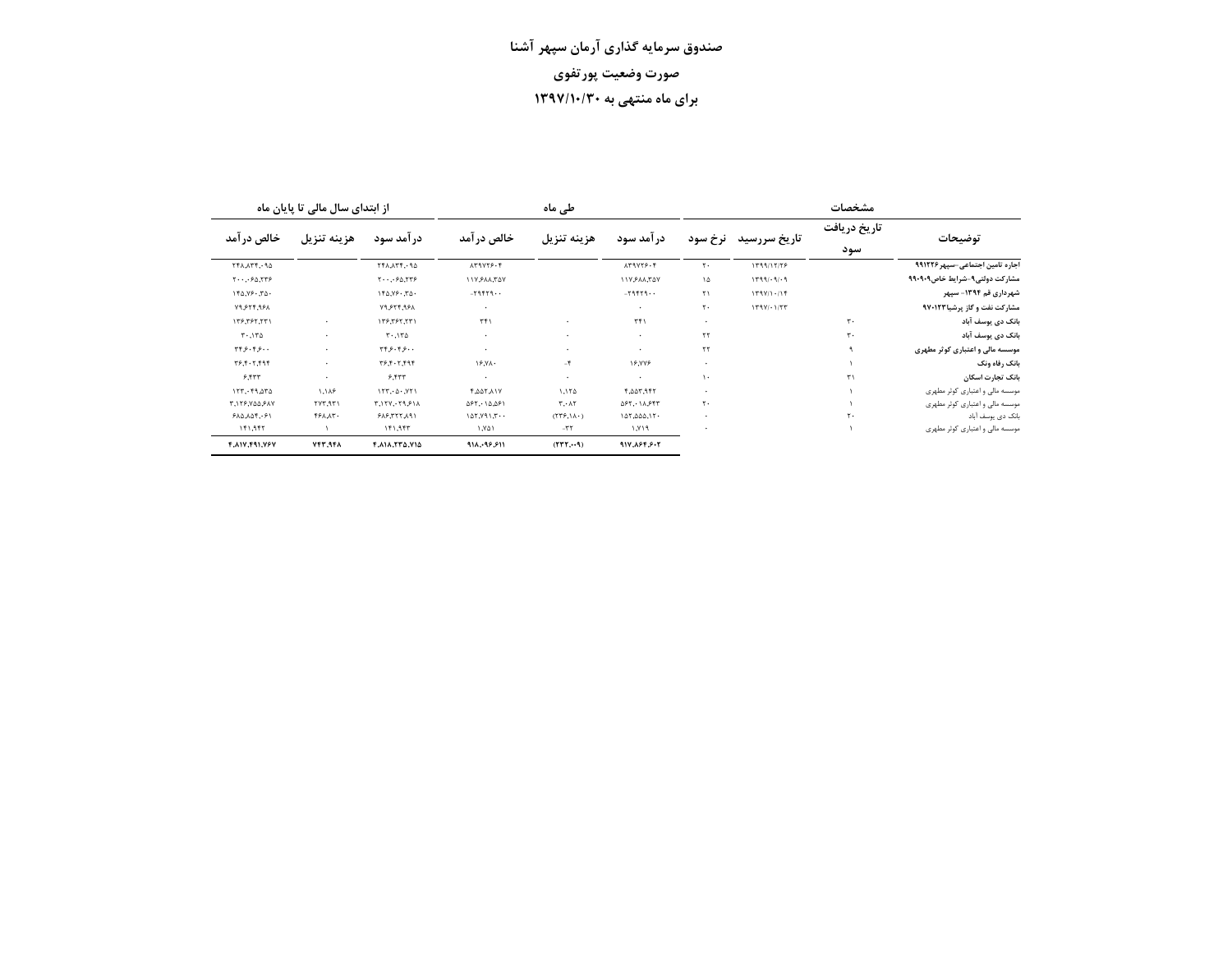|                                 | مشخصات              |              |                       |                     | طی ماہ                              |                                                                  | از ابتدای سال مالی تا پایان ماه                       |                      |                                                             |  |
|---------------------------------|---------------------|--------------|-----------------------|---------------------|-------------------------------------|------------------------------------------------------------------|-------------------------------------------------------|----------------------|-------------------------------------------------------------|--|
| توضيحات                         | تاريخ دريافت<br>سود | تاريخ سررسيد | نرخ سود               | در آمد سود          | هزينه تنزيل                         | خالص در آمد                                                      | در آمد سود                                            | هزينه تنزيل          | خالص در آمد                                                 |  |
| اجاره تامین اجتماعی-سپهر ۹۹۱۲۲۶ |                     | 1799/17/79   | ٢٠                    | 179775.4            |                                     | 159778.4                                                         | 111.174.177                                           |                      | ٢۴٨,٨٣۴,٠٩٥                                                 |  |
| مشاركت دولتي9-شرايط خاص9۰۹۰۹    |                     | $1799/-9/-9$ | ۱۵                    | 117511,747          |                                     | ١١٧,۶٨٨,٣۵٧                                                      | $Y \cdot \cdot \cdot \cdot \cdot \circ \Delta$ , $YY$ |                      | $Y \cdot \cdot \cdot \cdot \cdot \land Y \cdot \circ \cdot$ |  |
| شهرداری قم ۱۳۹۴- سیهر           |                     | 17911.17     | $\mathsf{r}\setminus$ | $-79757 -$          |                                     | $-79557 -$                                                       | 150.79.70.                                            |                      | 150.79.70.                                                  |  |
| مشارکت نفت و گاز پرشیا۹۷۰۱۲۳    |                     | 179V/177     | ٢٠                    | $\bullet$           |                                     | $\cdot$                                                          | 19,974,991                                            |                      | <b>N9.574.951</b>                                           |  |
| بانک دی یوسف آباد               | $\mathbf{r}$ .      |              | ٠                     | TT1                 |                                     | $\Gamma f$                                                       | 1٣۶,٣۶٢,٢٣١                                           | $\cdot$              | 1٣۶,٣۶٢,٢٣١                                                 |  |
| بانک دی یوسف آباد               | ٣٠                  |              | ۲۲                    | $\cdot$             | $\cdot$                             | $\cdot$                                                          | $T^{\ldots}$                                          | $\cdot$              | 571, 77                                                     |  |
| موسسه مالی و اعتباری کوثر مطهری |                     |              | ٢٢                    |                     | $\cdot$                             |                                                                  | ۰۰ ۶۰۴ بر ۳۴                                          | $\bullet$            | ۰۰ ۶۰۴ به ۳۴                                                |  |
| بانک رفاه ونک                   |                     |              | ٠                     | ۱۶,۷۷۶              | ۴−                                  | 15.7 <sub>A</sub>                                                | 797,7.7,97                                            | $\ddot{\phantom{0}}$ | 79.7.7.797                                                  |  |
| بانک تجارت اسکان                | $\mathbf{r}$        |              | $\mathcal{L}$         |                     | $\cdot$                             | $\cdot$                                                          | 9.557                                                 |                      | 9.577                                                       |  |
| موسسه مالی و اعتباری کوثر مطهری |                     |              | ٠                     | ٣,٥٥٣,٩۴٢           | 1.170                               | <b>F.AAT.AIY</b>                                                 | 157.0.771                                             | ۱,۱۸۶                | 157.49.070                                                  |  |
| موسسه مالی و اعتباری کوثر مطهری |                     |              | ٢٠                    | $\Delta$ ۶۲,٠١٨,۶۴۳ | T.A.                                | $\Delta \mathcal{F} \mathsf{Y}, \cdot \Delta \Delta \mathcal{F}$ | T, 17Y, 179, 91A                                      | ۲۷۳,۹۳۱              | <b>٣,١٢۶,٧٥٥,۶٨٧</b>                                        |  |
| بانک دی یوسف آباد               | ٢٠                  |              | ٠                     | 107,000,17          | $(T\Upsilon F,\Lambda\Lambda\cdot)$ | 127, 191, 7.4                                                    | ١٩٨,٢٢٢,٨٩١                                           | <b>FFAAT.</b>        | 910,105.91                                                  |  |
| موسسه مالی و اعتباری کوثر مطهری |                     |              |                       | P/Y, I              | $-\tau\tau$                         | ۱٬۷۵۱                                                            | ۶۴۱,۹۴۳                                               |                      | ۱۴۱,۹۴۲                                                     |  |
|                                 |                     |              |                       | 917.884.8.7         | (TTT, 9)                            | 918.98.811                                                       | F.AIA.TTA.VIA                                         | 147.948              | ۴,۸۱۷,۴۹۱,۷۶۷                                               |  |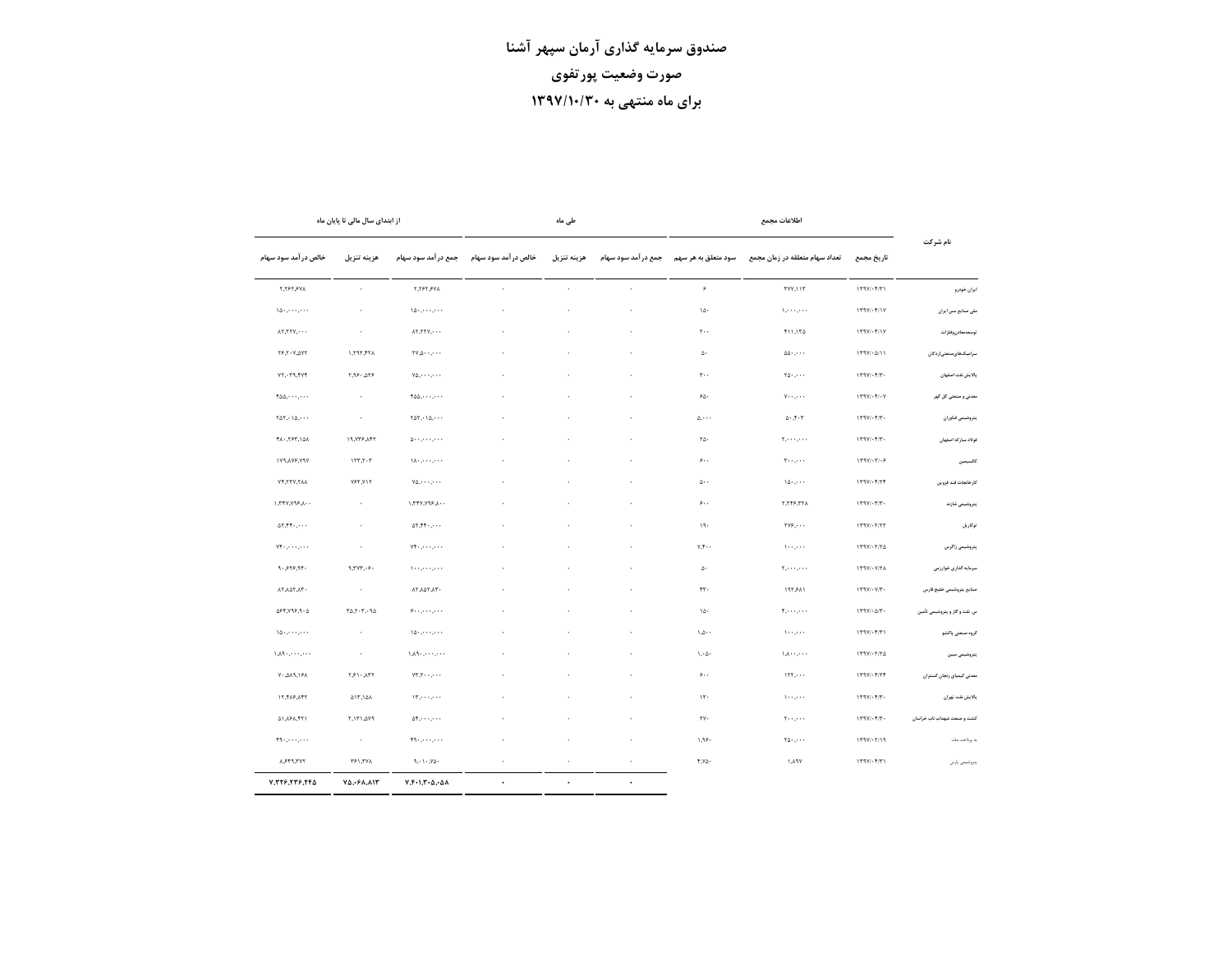|                               |                                                                                                                                                                                                                                                                          | اطلاعات مجمع                                                           |                                   |                    | طی ماہ       |                     |                                                                                                   | از ابتدای سال مالی تا پایان ماه                                   |                                                                      |
|-------------------------------|--------------------------------------------------------------------------------------------------------------------------------------------------------------------------------------------------------------------------------------------------------------------------|------------------------------------------------------------------------|-----------------------------------|--------------------|--------------|---------------------|---------------------------------------------------------------------------------------------------|-------------------------------------------------------------------|----------------------------------------------------------------------|
| نام شرکت                      | تاريخ مجمع                                                                                                                                                                                                                                                               | تعداد سهام متعلقه در زمان مجمع                                         | سود متعلق به هر سهم               | جمع درآمد سود سهام | هزينه تنزيل  | خالص درآمد سود سهام | جمع درآمد سود سهام                                                                                | هزينه تنزيل                                                       | خالص درآمد سود سهام                                                  |
| ايران خودرو                   | $179V/\cdot 17V$                                                                                                                                                                                                                                                         | TVV, I I T                                                             | ۶                                 | $\cdot$            | $\sim$       | $\cdot$             | <b>٢,٢۶٢,۶٧٨</b>                                                                                  | $\sim$                                                            | <b>T.TFT.FVA</b>                                                     |
| ملی صنایع مس ایران            | $\Upsilon \uparrow \Upsilon \uparrow \vee / \cdot \Upsilon / \Upsilon \vee$                                                                                                                                                                                              | $\lambda_1,\ldots,\ldots$                                              | ١Δ٠                               | $\cdot$            | $\cdot$      | $\cdot$             | $\Delta \Delta \cdot 1 + \cdots$                                                                  | $\sim$                                                            | $\setminus \bigtriangleup _{1},\cdots ,\cdots ,$                     |
| توسعهمعادن وفلزات             | $\uparrow \uparrow \uparrow \uparrow / \cdot \uparrow / \uparrow \uparrow$                                                                                                                                                                                               | $\uparrow$ 11,174                                                      | $\tau \cdots$                     | ٠                  |              | $\cdot$             | $\lambda$ , $\tau$ , $\tau$ , $\cdots$                                                            | $\sim$                                                            | $\lambda$ ٢,٢٢٧,٠٠٠                                                  |
| سرامیک های صنعتی اردکان       | $179V/\cdot\Delta/11$                                                                                                                                                                                                                                                    | $\Delta \Delta \cdot$ , $\cdot \cdot \cdot$                            | $\Delta$ .                        | ٠                  |              |                     | $\mathsf{YV}\mathsf{A}\cdots\mathsf{A}\cdots$                                                     | $\lambda$ 797,77 $\lambda$                                        | <b>٢۶,٢٠٧,٥٧٢</b>                                                    |
| بالايش نفت اصفهان             | $\setminus \tau \mathop{}\!\mathrm{\mathop{}\!\mathrm{\mathop{\scriptstyle\mathrm{Y}^\circ}}\mathop{}\!\mathrm{\mathop{\scriptstyle\mathrm{Y}^\circ}}\mathop{}\!\mathrm{\mathop{\scriptstyle\mathrm{Y}^\circ}}\mathop{}\!\mathrm{\mathop{\scriptstyle\mathrm{Y}^\circ}}$ | $\mathbf{Y}_0, \ldots$                                                 | $r \cdot \cdot$                   |                    |              |                     | $Y\Delta, \cdots, \cdots$                                                                         | 7,99.079                                                          | $VT, \neg T, \neg TY$                                                |
| معدنی و صنعتی گل گهر          | $\mathcal{N} \cap \mathcal{N}/\cdot \mathcal{N}/\cdot \mathcal{V}$                                                                                                                                                                                                       | $v \cdots$                                                             | $\mathcal{L}\Delta$ .             | $\cdot$            |              | ÷,                  | $400, \cdots, \cdots$                                                                             | $\sim$                                                            | $f \triangle \triangle$ , ,                                          |
| يتروشيمى فئاوران              | $\upgamma\upgamma\gamma\cdot\upgamma\wedge\upgamma\cdot\upgamma\wedge\upgamma\wedge\upgamma\wedge\upgamma\wedge\upgamma$                                                                                                                                                 | $\Delta$ - ,<br>7 - $\Upsilon$                                         | $\Delta, \cdots$                  | ×,                 |              |                     | $\mathsf{Y} \Delta \mathsf{Y}, \cdot \; \mathsf{Y} \Delta, \cdot \; \cdot \; \cdot$               | $\sim$                                                            | $\Upsilon \Delta \Upsilon, \cdot \Upsilon \Delta, \cdot \cdot \cdot$ |
| فولاد مباركه اصفهان           |                                                                                                                                                                                                                                                                          | $\mathbf{Y}_1,\cdots,\mathbf{Y}_{n-1}$ .                               | $\mathbf{Y}\Delta$ .              | ٠                  |              |                     | $\Delta$ - - , - - - , - - -                                                                      | ١٩,٧٣۶,٨۴٢                                                        | ٨۵/, ٣۶٣, ٨٩                                                         |
| كالسيمين                      | $\upgamma \upgamma \upgamma / \cdot \upgamma / \cdot \circ$                                                                                                                                                                                                              | $T \leftrightarrow \cdots$                                             | $\mathfrak{s}\ldots$              | ٠                  |              |                     | $\lambda \lambda + \ldots + \lambda + \lambda$                                                    | 157,7.7                                                           | <b>۱۷۹,۸۷۶,۷۹۷</b>                                                   |
| كارخانجات قند قزوين           | $\uparrow\uparrow\uparrow\uparrow/\uparrow\uparrow\uparrow\uparrow\uparrow\uparrow$                                                                                                                                                                                      | 10.7.74                                                                | $\Delta \cdot \cdot$              | ×.                 |              |                     | $Y\Delta, \cdots, \cdots$                                                                         | YYY,YY                                                            | YF, TTV, TAA                                                         |
| يتروشيمى شازئد                | $\uparrow\uparrow\uparrow\uparrow/\cdot\uparrow\uparrow\uparrow\uparrow\cdot$                                                                                                                                                                                            | 5,555,574                                                              | $\mathfrak{s}\ldots$              | $\cdot$            | $\mathbf{r}$ | $\cdot$             | 1,777,795,1.                                                                                      | $\sim$                                                            | 1,777,795,1.                                                         |
| توكاريل                       | $\uparrow \uparrow \uparrow \uparrow / \cdot \uparrow / \uparrow \uparrow$                                                                                                                                                                                               | $\Upsilon \vee \hat{r}, \cdots$                                        | 19.                               | $\cdot$            |              |                     | $\Delta \Upsilon, \Upsilon \Upsilon$ , $\cdot$ , $\cdot$ .                                        | $\sim$                                                            | $\Delta \Upsilon, \Upsilon \Upsilon$ , $\cdot$ , $\cdot$ .           |
| يتروشيمى زاكرس                |                                                                                                                                                                                                                                                                          | $1 + \cdot$ , $\cdot \cdot \cdot$                                      | $Y, Y \cdot \cdot$                |                    |              |                     | $Y^{\mu}$ . $, \cdots, \cdots$                                                                    | $\sim$                                                            | $Y\mathfrak{h}_1,\dots,\dots$                                        |
| سرمایه گذاری خوارزمی          | $179V/\cdot V/TA$                                                                                                                                                                                                                                                        | $\mathbf{Y}_1,\ldots,\mathbf{Y}_n$ .                                   | $\Delta \cdot$                    |                    |              |                     | ومعي ومعيدون                                                                                      | 9.7Y7.9.                                                          | $9 - 575.97$                                                         |
| صئايع يتروشيمى خليج فارس      | $\uparrow \uparrow \uparrow \uparrow \uparrow / \uparrow \uparrow \uparrow \uparrow \uparrow \uparrow \uparrow \uparrow \uparrow \uparrow \uparrow \uparrow \uparrow$                                                                                                    | ۱۹۲٫۶۸۱                                                                | ۴٣.                               | ٠                  |              |                     | ٠٦٨, ٢٥٢, ٨٢                                                                                      | $\sim$                                                            | ٠٦٨, ٢٥٨, ٨٢                                                         |
| س. نفت و گاز و پتروشیمی تأمین | $\uparrow\uparrow\uparrow\uparrow/\cdot\vartriangle/\uparrow\cdot$                                                                                                                                                                                                       | $\tau, \ldots, \ldots$                                                 | $1\Delta$                         | $\cdot$            |              | $\cdot$             | $\mathcal{P} \leftrightarrow \mathcal{P} \leftrightarrow \mathcal{P} \leftrightarrow \mathcal{P}$ | $\tau \Delta, \tau \cdot \tau, \cdot \Uparrow \Delta$             | $\Delta$ ۶۴,۷۹۶,۹۰ $\Delta$                                          |
| گروه صنعتی پاکشو              | $\uparrow \uparrow \uparrow \uparrow / \cdot \uparrow / \uparrow \uparrow$                                                                                                                                                                                               | $\lambda$                                                              | $\cdot \cdot \Delta$              | ٠                  |              |                     | $\Delta \Delta \cdot 1 + \cdots$                                                                  | $\sim$                                                            | $\Lambda \Delta \cdot \Box \cdot \cdot \cdot \Box \cdot \cdot \cdot$ |
| يتروشيمى ميين                 |                                                                                                                                                                                                                                                                          | $\Lambda_1\Lambda_2\cdots\Lambda_n\Lambda_n$                           | $\lambda, \Delta$                 |                    |              |                     | $1, 1, 2, \ldots, 2, 1, 1$                                                                        | $\sim$                                                            | $1, 1, 2, \ldots, 2, 1, 1$                                           |
| معدنى كيمياى زنجان كستران     | $179V/\cdot 177$                                                                                                                                                                                                                                                         | 155                                                                    | $\mathfrak{s}\cdot\cdot$          | ×.                 |              |                     | $VT, Y \cdot \cdot \cdot, \cdot \cdot \cdot$                                                      | $\uparrow, \uparrow \uparrow \cdot, \downarrow \uparrow \uparrow$ | ٨٩,١۶٨. ٧٠                                                           |
| بالايش نفت تهران              | $\setminus \tau \mathop{}\!\mathrm{\mathop{}\!\mathrm{\mathop{\scriptstyle\mathrm{Y}^\circ}}\mathop{}\!\mathrm{\mathop{\scriptstyle\mathrm{Y}^\circ}}\mathop{}\!\mathrm{\mathop{\scriptstyle\mathrm{Y}^\circ}}\mathop{}\!\mathrm{\mathop{\scriptstyle\mathrm{Y}^\circ}}$ | $1 - 1 - 1 - 1$                                                        | 15.                               | $\cdot$            |              | $\cdot$             | $\Upsilon, \cdots, \cdots$                                                                        | $\Delta$ 17, 1 $\Delta$ A                                         | ١٢,۴٨۶,٨۴٢                                                           |
| کشت و صنعت شهداب ناب خراسان   | $\setminus \Upsilon \mathfrak{f} \mathfrak{f} / \cdot \mathfrak{f}/\Upsilon \cdot$                                                                                                                                                                                       | $\forall \cdots, \cdots$                                               | ٢γ.                               | $\blacksquare$     |              | $\cdot$             | $\Delta \mathbf{f}_1, \ldots, \ldots$                                                             | <b>۱۳۱٬۵۷۹</b>                                                    | ۵۱,۸۶۸,۴۲۱                                                           |
| به برداخت ملت                 | $179V/\cdot 7/19$                                                                                                                                                                                                                                                        | $\mathbf{Y} \Delta \cdot \mathbf{y} \cdot \mathbf{y} \cdot \mathbf{y}$ | ۱٫۹۶۰                             | $\cdot$            |              | ٠                   | F9.1.1.1.1.1.1.1                                                                                  | $\sim$                                                            |                                                                      |
| پتروشیمی پارس                 | $\uparrow\uparrow\uparrow\uparrow\uparrow\uparrow\uparrow\uparrow\uparrow\uparrow\uparrow\uparrow$                                                                                                                                                                       | YPA, I                                                                 | $\mathfrak{k},\mathsf{V}\Delta$ . | $\sim$             | $\epsilon$   | $\cdot$             | $\mathfrak{q},\cdot\mathfrak{1}\cdot\mathfrak{N}\Delta\cdot$                                      | ۲۶۱,۲٧λ                                                           | λ,۶۴۹,۳٧٢                                                            |
|                               |                                                                                                                                                                                                                                                                          |                                                                        |                                   | $\bullet$          | $\bullet$    | $\bullet$           | $Y, F - 1, T - \Delta, -\Delta\Lambda$                                                            | ٧٥٫٠۶٨,٨١٣                                                        | Y, TY9, TY9, TFA                                                     |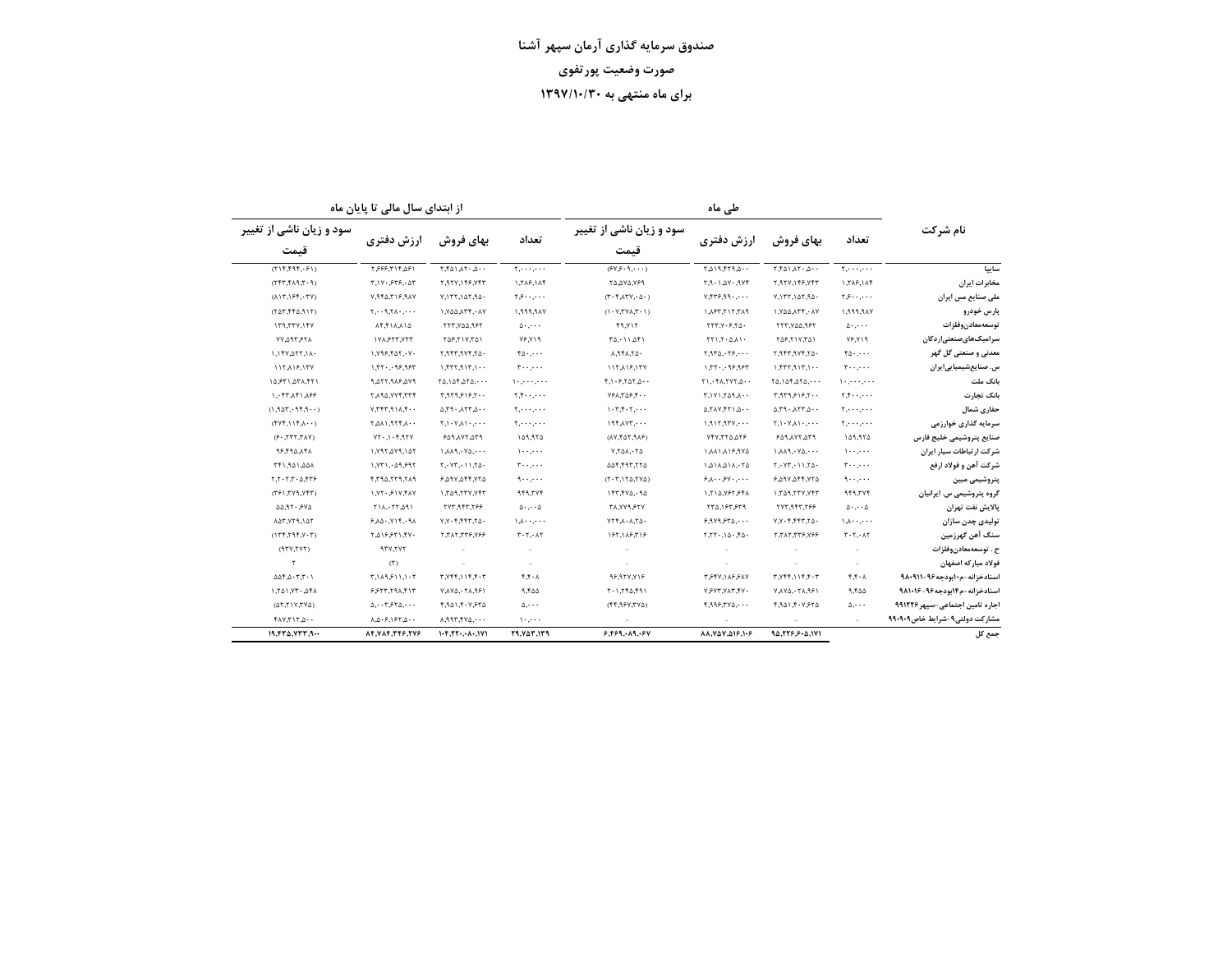از ابتدای سال مالی تا پایان ماه

| ماه |  |
|-----|--|
|-----|--|

| سود و زیان ناشی از تغییر                                                                  |                                                      |                                          | تعداد                                              | سود و زیان ناشی از تغییر                                                                   |                                            |                                                                                      | تعداد                                | نام شرکت                        |
|-------------------------------------------------------------------------------------------|------------------------------------------------------|------------------------------------------|----------------------------------------------------|--------------------------------------------------------------------------------------------|--------------------------------------------|--------------------------------------------------------------------------------------|--------------------------------------|---------------------------------|
| قىمت                                                                                      | ارزش دفتری                                           | بهای فروش                                |                                                    | قىمت                                                                                       | ارزش دفتري                                 | بهای فروش                                                                            |                                      |                                 |
| (115, 595, 691)                                                                           | ۲.۶۶۶.۳۱۴.۵۶۱                                        | 1.501.170                                | $Y_1, \ldots, Y_n$                                 | (94.9.9.0)                                                                                 | 1.4.19.779.0                               | $Y.f\Delta 1.AY\cdot \Delta \cdot \cdot$                                             | 1.1.1.1.1.1.1                        | ساييا                           |
| (1.7, 1.17, 7.77)                                                                         | T.1Y.5Y5.Y                                           | ٢.٩٢٧.١۴۶.٧۴٣                            | 1,716,114                                          | ٢٥,٥٧٥,٧۶٩                                                                                 | $7.9 - 1.0Y - 9Yf$                         | 7.977.149.747                                                                        | 1.٢٨۶.١٨۴                            | مخابرات ایران                   |
| $(\lambda \mid \Upsilon, \cdot \mid \mathcal{F} \mathfrak{f}, \cdot \Upsilon \mathsf{Y})$ | V,950,719,9AY                                        | 10,157,167,96.                           | $\mathbf{y}$                                       | $(T - F \wedge TY, \Delta)$                                                                | $Y.$ $Y.$ $Y.$ $9.9.$                      | 1, 177, 107, 90.                                                                     | $\mathbf{y}, \mathbf{y}, \ldots$     | ملی صنایع مس ایران              |
| $(Y \Delta Y, Y \Delta Y)$                                                                | $Y, \cdot \cdot 9, Y \wedge \cdot \cdot \cdot \cdot$ | ١.٧۵۵.٨٣۴.٠٨٧                            | ۷۸۴٬۴۴۴٬۱                                          | (1.7, NYX, T)                                                                              | PAY, Y17, T91                              | ١.٧٥٥.٨٣۴.٠٨٧                                                                        | ۱٬۹۹۹٬۹۸۷                            | پارس خودرو                      |
| 179,777,177                                                                               | $\lambda$ ۴,۴۱۸,۸۱۵                                  | ٢٢٣,٧٥٥,٩۶٢                              | 0.0000                                             | <b>FR.VIT</b>                                                                              | YYY,Y5Y0.                                  | ٢٢٣,٧٥٥,٩۶٢                                                                          | 0.0000                               | توسعهمعادن وفلزات               |
| ٢٢,٣٩٣,٧٧                                                                                 | 171,977,777                                          | ٢۵۶,٢١٧,٣۵١                              | ۷۶٬۷۱۹                                             | $T\Delta, 11, \Delta f1$                                                                   | $YY1,Y-0,\lambda Y$                        | ٥٦/٢١٧.٢٥١                                                                           | Y5.19                                | سرامیکهایصنعتیاردکان            |
| ١,١۴٧,٥٢٢,١٨٠                                                                             | ١,٧٩۶,۴۵٢,٠٧٠                                        | ٠۵٦, ٢٧۴, ٣٩٢, ٢                         | $f_0, \ldots$                                      | 1,941,74.                                                                                  | $Y, 9Y_0, Y_7, \ldots$                     | ٠۵٦, ١٧۴, ١٩٣, ٢                                                                     | $f_0,\ldots$                         | معدنی و صنعتی گل گهر            |
| 117,119,177                                                                               | 1.77.099.997                                         | 1.517, 117, 117, 1                       | $r \cdots$                                         | 117,119,177                                                                                | 1.77.799.997                               | 1.577, 917, 1                                                                        | $\mathbf{r} \cdot \cdot \cdot \cdot$ | س. صنایعشیمیاییایران            |
| ١۵,۶٣١,۵٣٨,۴٢١                                                                            | ٧٩.٥٢٢,٩٨۶,٥٧٩                                       | 10.105.050                               | والمتروم والمراوية                                 | $f, \mathcal{N} \cdot f, \mathcal{N} \triangle \mathcal{N}, \mathcal{N} \cdot \mathcal{N}$ | $Y \wedge Y$ , $Y \wedge Y$ , $Y \wedge Y$ | 10.105.070                                                                           | والمعير والمراوية                    | بانک ملت                        |
| ۱٬۰۴۳٬۸۴۱٬۸۶۶                                                                             | 777,7YY,4PA7                                         | ۰۰ ۱۶٫۶/۹٫۶۳۴.۳                          | $T, T, \cdots, \cdots$                             | $YFA, T\Delta F, F \cdots$                                                                 | .007,007,04.7                              | ۲٬۹۳۹٬۶۱۶٬۲۰۰                                                                        | $\mathbf{y}, \mathbf{y}, \ldots$     | بانک تجارت                      |
| (1.907.999.1)                                                                             | .47, 11, 11, 77, 79                                  | 0.79.171.076                             | $T_1, \ldots, \ldots$                              | $1.7, 7.7, \ldots$                                                                         | 0.711,017.017.0                            | 0.79.177.0.04                                                                        | $T_1, \ldots, \ldots$                | حفارى شمال                      |
| $(117.115.4 \cdot \cdot)$                                                                 | $\cdot$ . $\lambda$ $779$ , $110$ , $7$              | $Y, Y, Y, \Lambda$                       | $\mathbf{Y}_1 \cdot \cdot \cdot \cdot \cdot \cdot$ | $197 \lambda YT, \cdots$                                                                   | $1.9117.97V, \cdots$                       | $\uparrow,\upharpoonright\cdot\upharpoonright\wedge\wedge\upharpoonright\cdot\ldots$ | $T_1 + \cdots + \cdots$              | سرمایه گذاری خوارزمی            |
| $(Y \wedge T, T \wedge T)$                                                                | $YY \cdot 1 \cdot 5.95Y$                             | ٣٦٥,٢٧٢,٥٣٩                              | ۱۵۹٬۹۲۵                                            | $(XY, Y \Delta Y, P \Delta F)$                                                             | 974,677,747                                | ٣٦٥,٢٧٢,٥٣٩                                                                          | ۱۵۹٬۹۲۵                              | صنايع يتروشيمى خليج فارس        |
| 16.692.14                                                                                 | 1, Y 9 1, 2 Y 9, 1 4 Y                               | 1.11.19.140                              | $\mathcal{L}$                                      | $Y,Y \triangle \Lambda$ , $Y \triangle$                                                    | 1,11,1,19,974                              | 1,1,1,1,1,1,0,0,0                                                                    | $1 - 1 - 1 - 1$                      | شرکت ارتباطات سیار ایران        |
| ٨۵٨,١٥٩,١٩٢                                                                               | 1.971.09.997                                         | Y, YY, Y1, Y0.                           | $\mathbf{r} \cdot \cdot \cdot \cdot$               | 677,797,766                                                                                | 1.211.211.76                               | Y, YY, Y1, Y0                                                                        | $r \cdots$                           | شركت آهن و فولاد ارفع           |
| $277.0 - 7.7 - 7.7$                                                                       | ٢.٢٩۵.٢٣٩.٢٨٩                                        | 7.٥٩٧,٥۴۴,٧٢٥                            | $9 \cdot 10 \cdot 10$                              | $(T \cdot T, 1T \Delta, TVA)$                                                              | 9.1.99.1.04                                | 7,٥٩٧,٥۴۴,٧٢٥                                                                        | ۱۰۰٬۰۰۰                              | پتروشیمی مبین                   |
| (771, 779, 777)                                                                           | $1.77.51Y$ , $fAY$                                   | 777, 777, 767, 1                         | 949,774                                            | ۹۵ ۰٬۵۷۹٬۶۴                                                                                | 1,810, 197, 541                            | ١.٣٥٩.٢٣٧.٧۴٣                                                                        | 949,774                              | گروه پتروشیمی س. ایرانیان       |
| 0.91.91.940                                                                               | $Y1\Lambda, YY\Lambda$ 91                            | 777.947.799                              | $0 \cdot \cdot \cdot 0$                            | <b>TA.YY9.۶۲Y</b>                                                                          | ٢٣٥.١۶٣.۶٣٩                                | 777.947.799                                                                          | $0 \cdot \cdots 0$                   | يالايش نفت تهران                |
| 147.779.14                                                                                | 6.10.719.91                                          | $Y,Y$ . $f$ , $f$ $f$ $T$ , $f \wedge$   | 1.1.1.1.1.1                                        | $YY^{\dagger}A \cdot A$ , $Y\Delta$                                                        | 9.919570                                   | $Y,Y-f,fFT,Y_0.$                                                                     | 1.1.1.1.1.1                          | تولیدی چدن سازان                |
| (175, 795, 795)                                                                           | ۴۷۰, ۳٫۵۱۶۶۳۱,۴۷۰                                    | 7, 71, 779, 787                          | $T - T - \Lambda T$                                | 185,118,318                                                                                | 5.75.10.50.77.7                            | 337,777,787,78                                                                       | $T - T - \Lambda T$                  | سنگ آهن گهرزمین                 |
| (1YY,YYY)                                                                                 | 937,777                                              |                                          |                                                    |                                                                                            |                                            |                                                                                      |                                      | ح . توسعهمعادن,وفلزات           |
| ٢                                                                                         | (5)                                                  |                                          |                                                    |                                                                                            |                                            |                                                                                      |                                      | فولاد مباركه اصفهان             |
| $\Delta \Delta f, \Delta \cdot T, T \cdot 1$                                              | 1.1115.11.77                                         | $T, Yff, 11f, f \cdot T$                 | F.F.A                                              | 96,957,716                                                                                 | TSTV, 1 ASSAV                              | $T, Yff, 11f, f \cdot T$                                                             | f.f.A                                | اسنادخزانه-م١٠بودجه٩۶-٩٨٠٩١١    |
| 1,701,77.461                                                                              | 9557,791,717                                         | ٢٩,٨٢٠,٥٧٨٧                              | 9.400                                              | 1.1750.991                                                                                 | Y SYT, YAT, TY.                            | YAX0,YAA,991                                                                         | 9,400                                | اسنادخزانه-م۱۴بودجه۹۶-۹۸۱۰۱۶    |
| (017, 117, 70)                                                                            |                                                      | 1,941,4.7,874                            | $\Delta$                                           | (6Y7,99Y,7Y)                                                                               | $f, 999, 790, \cdots$                      | ۲٬۹۵۱٬۴۰۷٬۶۲۵                                                                        | $\Delta$                             | اجاره تامین اجتماعی-سپهر ۹۹۱۲۲۶ |
| $f \wedge Y, T \vee T, \Delta \cdots$                                                     | $\lambda, \Delta$ . $9, 197, \Delta$                 | 1.997,940                                | $\mathcal{N} \cdot \mathcal{N} \cdot \mathcal{N}$  |                                                                                            |                                            |                                                                                      |                                      | مشاركت دولتي4-شرايط خاص909.9    |
| 19.570.777.9                                                                              | 84.47.744.87.74                                      | $1 - F, \Gamma \Gamma - \cdots + \Gamma$ | 79.757.179                                         | 9.9991994                                                                                  | 81.808.019.1.6                             | 90.779.9.0.171                                                                       |                                      | جمع کل                          |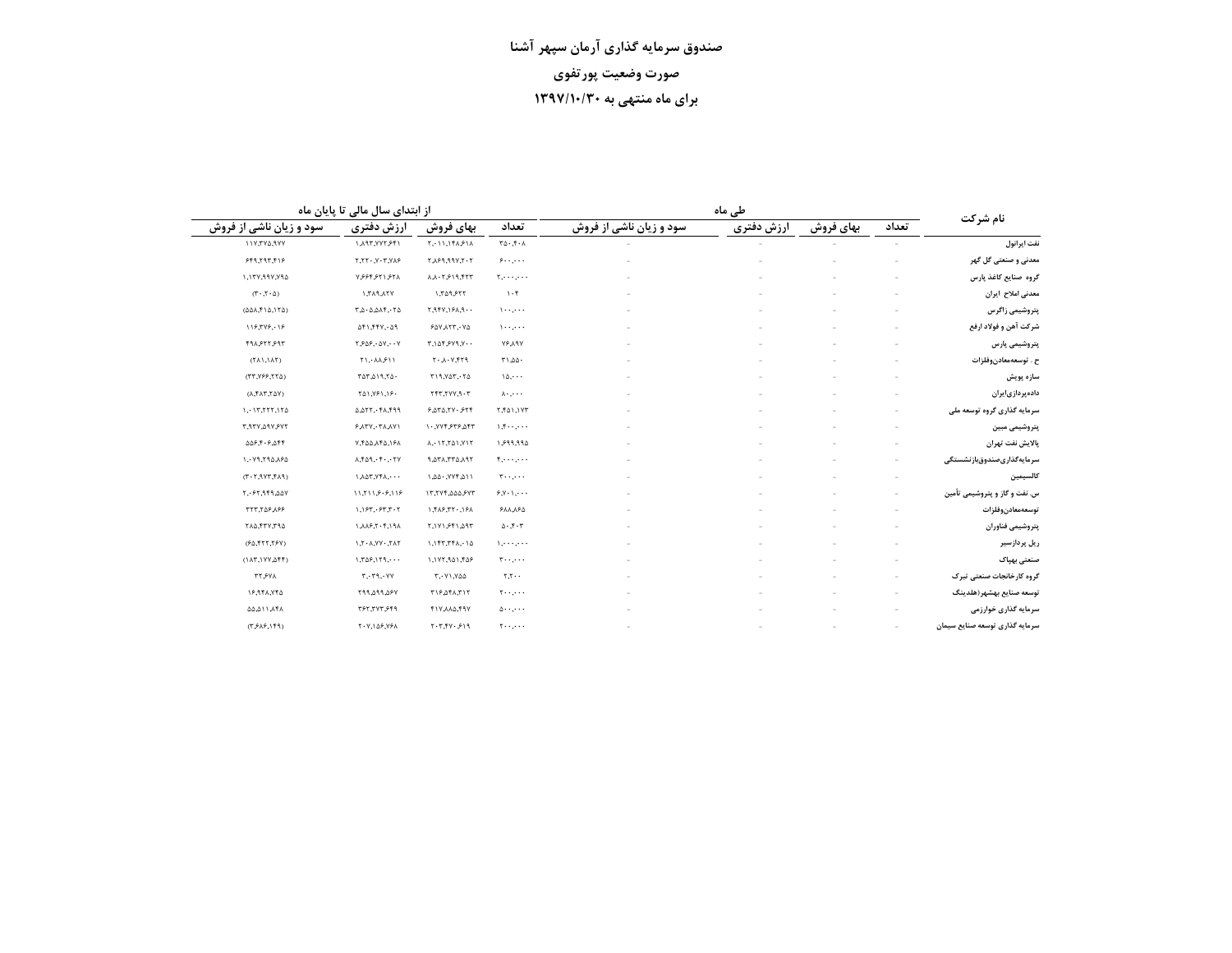|  |  | از ابتدای سال مالی تا پایان ماه |  |  |
|--|--|---------------------------------|--|--|
|  |  |                                 |  |  |

|                                                                                | از ابتدای سال مالی تا پایان ماه                 |                                                           |                                                  | طی ماہ                  |            |           |       | نام شرکت                       |
|--------------------------------------------------------------------------------|-------------------------------------------------|-----------------------------------------------------------|--------------------------------------------------|-------------------------|------------|-----------|-------|--------------------------------|
| سود و زیان ناشی از فروش                                                        | ارزش دفترى                                      | بهای فروش                                                 | تعداد                                            | سود و زیان ناشی از فروش | ارزش دفترى | بهای فروش | تعداد |                                |
| <b><i>IIV, TYA, IYY</i></b>                                                    | ١,٨٩٣,٧٧٢,۶۴١                                   | $Y, Y \cup Y, Y \in \mathcal{S} \cup \mathcal{S}$         | $\mathbf{r}\Delta\cdot\mathbf{r}\cdot\mathbf{A}$ |                         |            |           |       | نفت ايرانول                    |
| 959,797,719                                                                    | $Y, YY \cdot Y \cdot Y, Y \wedge Y$             | 7.7.79.997.7.7                                            | $9 \cdots$                                       |                         |            |           |       | معدنی و صنعتی گل گهر           |
| ١,١٣٧,٩٩٧,٧٩٥                                                                  | Y55757157A                                      | A.A.7.919.777                                             | $Y, \cdots, \cdots$                              |                         |            |           |       | گروه صنایع کاغذ یارس           |
| $(T \cdot T \cdot \Delta)$                                                     | <b>Y7A, PAT, I</b>                              | 1,709,777                                                 | $\mathcal{N} \cdot \mathcal{F}$                  |                         |            |           |       | معدنى املاح ايران              |
| $(\Delta\Delta\lambda,\mathfrak{k}\setminus\Delta,\mathfrak{l}\uparrow\Delta)$ | $T_{A} \cdot \Delta A T_{A} \cdot T \Delta$     | .951, 191, 797, 7                                         | $1 - 1 - 1$                                      |                         |            |           |       | پتروشیمی زاگرس                 |
| 118,548,.18                                                                    | $\Delta f1, ffV, \Delta 9$                      | ٢٥٧,٢٢٣,٠٧٥                                               | $1 - 1 - 1$                                      |                         |            |           |       | شركت آهن و فولاد ارفع          |
| ۴۹۸,۶۲۲,۶۹۳                                                                    | $Y, P \Delta P, \cdot \Delta Y, \cdot \cdot Y$  | $T, 1 \Delta F, 5 V 9, V \cdots$                          | <b>VF.A9Y</b>                                    |                         |            |           |       | پتروشیمی پارس                  |
| $(7\lambda)$ , $(\lambda 7)$                                                   | Y1, A1.511                                      | $P77, V \cdot \lambda, \cdot 7$                           | T1.00.                                           |                         |            |           |       | ح . توسعەمعادنوفلزات           |
| (TT,Y99,TY0)                                                                   | $T\Delta T, \Delta 19, T\Delta$                 | $T19, Y\Delta T, 56$                                      | $10, \cdots$                                     |                         |            |           |       | سازه پویش                      |
| $(\lambda, \mathsf{f} \lambda \mathsf{f}, \mathsf{f} \Delta \mathsf{Y})$       | 141,191,19.                                     | 7.9.7YY,7.777                                             | $\lambda \cdot \ldots$                           |                         |            |           |       | دادەپردازىايران                |
| 1.17.777.170                                                                   | 0.257.77.799                                    | 6.272.74.576                                              | <b>7,641,177</b>                                 |                         |            |           |       | سرمایه گذاری گروه توسعه ملی    |
| ٣,٩٣٧,٥٩٧,۶٧٢                                                                  | $F\Lambda \Upsilon V, T\Lambda \Lambda V$       | ١٠.٧٧۴.۶٣۶.٥۴٣                                            | 1.5                                              |                         |            |           |       | بتروشيمى مبين                  |
| ۵۵۶,۴۰۶,۵۴۴                                                                    | Y. FAA A FA, 19A                                | $\lambda$ , $\lambda$ , $\lambda$ , $\lambda$ , $\lambda$ | ۱٬۶۹۹٬۹۹۵                                        |                         |            |           |       | پالايش نفت تهران               |
| ٢٩٨،٥٩٦،٢٩٥                                                                    | $\lambda$ , $f \Delta 9$ , $f \cdot \ldots f Y$ | <b>7PLATT, ATA.P</b>                                      | $f_1, \ldots, \ldots$                            |                         |            |           |       | سرمايەگذارىصندوقبازنشستگى      |
| $(PA^{\dagger}, Y^{\dagger}, Y^{\dagger}, Y^{\dagger})$                        | $1, \Delta 07, Yf\Lambda, \cdots$               | 1,00.7Yf,011                                              | $r \cdots$                                       |                         |            |           |       | كالسيمين                       |
| ٥٧.٥٩٣٩.٥٢٩.٥٧                                                                 | 11,711,9.9,119                                  | ٧٣,٢٧٤,٥٥٥,٢٧٣                                            | $9.1 \cdot 1.0$                                  |                         |            |           | -     | س. نفت و گاز و پتروشیمی تأمین  |
| 777,709,199                                                                    | 1.157.57.7.7                                    | ١.۴٨۶.٣٢٠.١۶٨                                             | 911,190                                          |                         |            |           |       | توسعهمعادنوفلزات               |
| ٢٨٥,٢٣٧,٣٩٥                                                                    | 1.1.7.7.7.19A                                   | ١٧١,٤٤١,٥٩٣                                               | $\Delta$ - , $\tilde{\tau}$ - $\tau$             |                         |            |           |       | بتروشيمى فناوران               |
| (60, 557, 759)                                                                 | $1.7 - \lambda. YY - T\lambda Y$                | $1.1$ $57.75$ $4.10$                                      | 1, 1, 1, 2, 3, 4                                 |                         |            |           |       | ریل پردازسیر                   |
| (1AT,1YY,AFF)                                                                  | 1.709.179                                       | 1,177,941,448                                             | $\tau \cdots$                                    |                         |            |           |       | صنعتى بهباك                    |
| <b>TT, FVA</b>                                                                 | T.79.YY                                         | 7. - 71. 744                                              | $T,T \cdot \cdot$                                |                         |            |           |       | گروه کارخانجات صنعتی تبرک      |
| ١۶,٩۴٨,٧۴۵                                                                     | <b>٢٩٩,٥٩٩,٥۶٧</b>                              | T19.251.717                                               | $\mathbf{y} \cdot \mathbf{y} \cdot \mathbf{y}$   |                         |            |           |       | توسعه صنايع بهشهر (هلدينگ      |
| <b>ATAILAGA</b>                                                                | ٣۶٢,٣٧٣,۶۴٩                                     | TIV AAA, TIV                                              | $0 \cdot \cdot \cdot \cdot \cdot$                |                         |            |           |       | سرمایه گذاری خوارزمی           |
| $(T, P \Lambda P, I \Gamma P)$                                                 | ٢٠٧,١۵۶,٧۶٨                                     | $F - T$ , $FV - F$                                        | $\mathbf{y} \cdot \mathbf{y} \cdot \mathbf{y}$   |                         |            |           |       | سرمایه گذاری توسعه صنایع سیمان |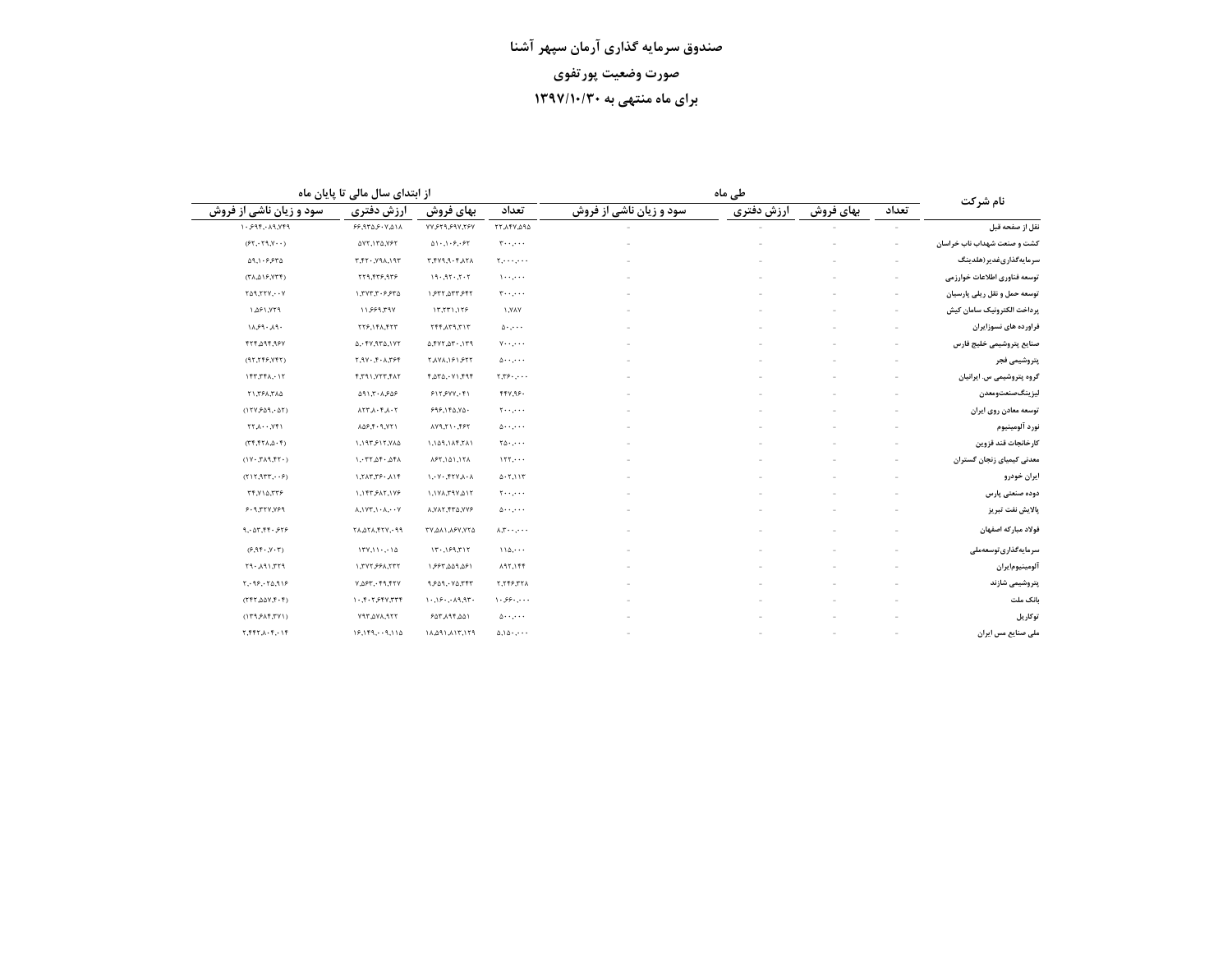| از ابتدای سال مالی تا پایان ماه                                                  |                                                           |                                                       |                         | نام شرکت             |       |                                    |
|----------------------------------------------------------------------------------|-----------------------------------------------------------|-------------------------------------------------------|-------------------------|----------------------|-------|------------------------------------|
| ارزش دفترى                                                                       | بهای فروش                                                 | تعداد                                                 | سود و زیان ناشی از فروش | بهای فروش            | تعداد |                                    |
| ١٨ ٥.٧ ٠٩ ٠٩٣٩                                                                   | ٧٧,۶٢٩,۶٩٧,٢۶٧                                            | 17,14V,094                                            |                         |                      |       | نقل از صفحه قبل                    |
| <b>AVT.1TA.VFT</b>                                                               | 01.1.9.97                                                 | $T \cdot \cdot \cdot \cdot \cdot$                     |                         |                      |       | <b>نشت و صنعت شهداب ناب خراسان</b> |
| <b>7P1.APV. . 79.7</b>                                                           | ٢,٢٧٩,٩٠۴,٨٢٨                                             | $Y, \cdots, \cdots$                                   |                         |                      |       | سرمايەگذارىغدير(ھلدينگ             |
| 779,477,977                                                                      | 19.97.7.7                                                 | $\lambda$                                             |                         |                      |       | نوسعه فناورى اطلاعات خوارزمى       |
| ١.٣٧٣.٣٠۶.۶٣٥                                                                    | ١,۶٣٢,٥٣٣,۶۴٢                                             | $T \leftrightarrow \cdots$                            |                         |                      |       | توسعه حمل و نقل ريلي پارسيان       |
| 11,999,797                                                                       | 17,771,179                                                | <b>YAY, /</b>                                         |                         |                      |       | يرداخت الكترونيك سامان كيش         |
| ٢٢۶,١۴٨,۴٢٣                                                                      | 7/7, $P7$                                                 | $\Delta$                                              |                         |                      |       | فراورده های نسوزایران              |
| 0,0.57,0.77                                                                      | 0.5177.07.179                                             | $v \cdot \cdot \cdot \cdot$                           |                         |                      |       | صنايع پتروشيمى خليج فارس           |
| Y, YY, Y, A, T99                                                                 | <b>T.AYA, 191.977</b>                                     | $\Delta$                                              |                         |                      |       | پتروشیمی فجر                       |
| ٢.٣٩١.٧٢٣.۴٨٢                                                                    | ۴,۵۳۵,٠٧١,۴٩۴                                             | $T, T$ ۶۰,۰۰۰                                         |                         |                      |       | گروه پتروشیمی س. ایرانیان          |
| 091.7.1909                                                                       | 5155YY, 61                                                | ۴۴۷,۹۶۰                                               |                         |                      |       | ليزينگصنعتومعدن                    |
| $7 - \lambda$ , $7 - \lambda$ , $77\lambda$                                      | 999,190,90.                                               | $\mathbf{y} \cdot \mathbf{y} \cdot \mathbf{y}$        |                         |                      |       | توسعه معادن روى ايران              |
| <b>ADP.F. 9.YT1</b>                                                              | XY9,71.797                                                | $\Delta$                                              |                         |                      |       | نورد آلومينيوم                     |
| ١,١٩٣,۶١٢,٧٨۵                                                                    | 1,109,114,711                                             | $\mathbf{Y} \Delta \cdot \mathbf{y} \cdot \mathbf{y}$ |                         |                      |       | كارخانجات قند قزوين                |
| 1.777.29.291                                                                     | 1871,101,171                                              | $157, \cdots$                                         |                         |                      |       | معدنی کیمیای زنجان گستران          |
| $1,7\lambda 7,79.$ $\lambda 19$                                                  | $\lambda$ - $\lambda$ - $\lambda$ - $\lambda$ - $\lambda$ | 0.7,117                                               |                         |                      |       | ايران خودرو                        |
| 1,147, ۶۸۲, ۱۷۶                                                                  | ١,١٧٨,٣٩٧,٥١٢                                             | $\mathbf{y} \cdot \mathbf{y} \cdot \mathbf{y}$        |                         |                      |       | دوده صنعتی پارس                    |
| $\lambda$ , $\forall$ $\uparrow$ , $\uparrow$ $\cdot$ $\lambda$ , $\cdot$ $\vee$ | ٨,٧٨٢, ٢٣٥, ٧٧۶                                           | $\Delta$                                              |                         |                      |       | پالایش نفت تبریز                   |
| ٢٨, ٥٢٨, ۴٢٧, ٩٩                                                                 | TY 211 JSY YTA                                            | $\lambda, \tau \cdot \cdot, \cdot \cdot$              |                         |                      |       | فولاد مباركه اصفهان                |
| 17Y, 11.7.10                                                                     | 15.199.717                                                | $110, \cdots$                                         |                         |                      |       | سرمايەگذارى توسعەملى               |
| 1, ٢٧٢, ۶۶٨, ٢٣٢                                                                 | 1,998,009,091                                             | <b>A97,144</b>                                        |                         |                      |       | آلومينيومايران                     |
| ٢٢٧, ٢٩, ٢٣٧, ٣٨٥                                                                | 9,909,00777                                               | ٢,٢۴۶,٣٢٨                                             |                         |                      |       | پتروشیمی شازند                     |
| $1.5 + 7.5 + 7.77 +$                                                             | 1.19.19.19.77.                                            | $\setminus \cdot \circ \circ \cdot \cdot \cdot$       |                         |                      |       | بانک ملت                           |
| ٢٩٣, ٧٩٣, ٢٩٣                                                                    | 1447414                                                   | $\Delta$                                              |                         |                      |       | توكاريل                            |
| 19, 19, 19, 110                                                                  | P71,711,190,179                                           | 0.10                                                  |                         |                      |       | ملی صنایع مس ایران                 |
|                                                                                  |                                                           |                                                       |                         | طی ماہ<br>ارزش دفترى |       |                                    |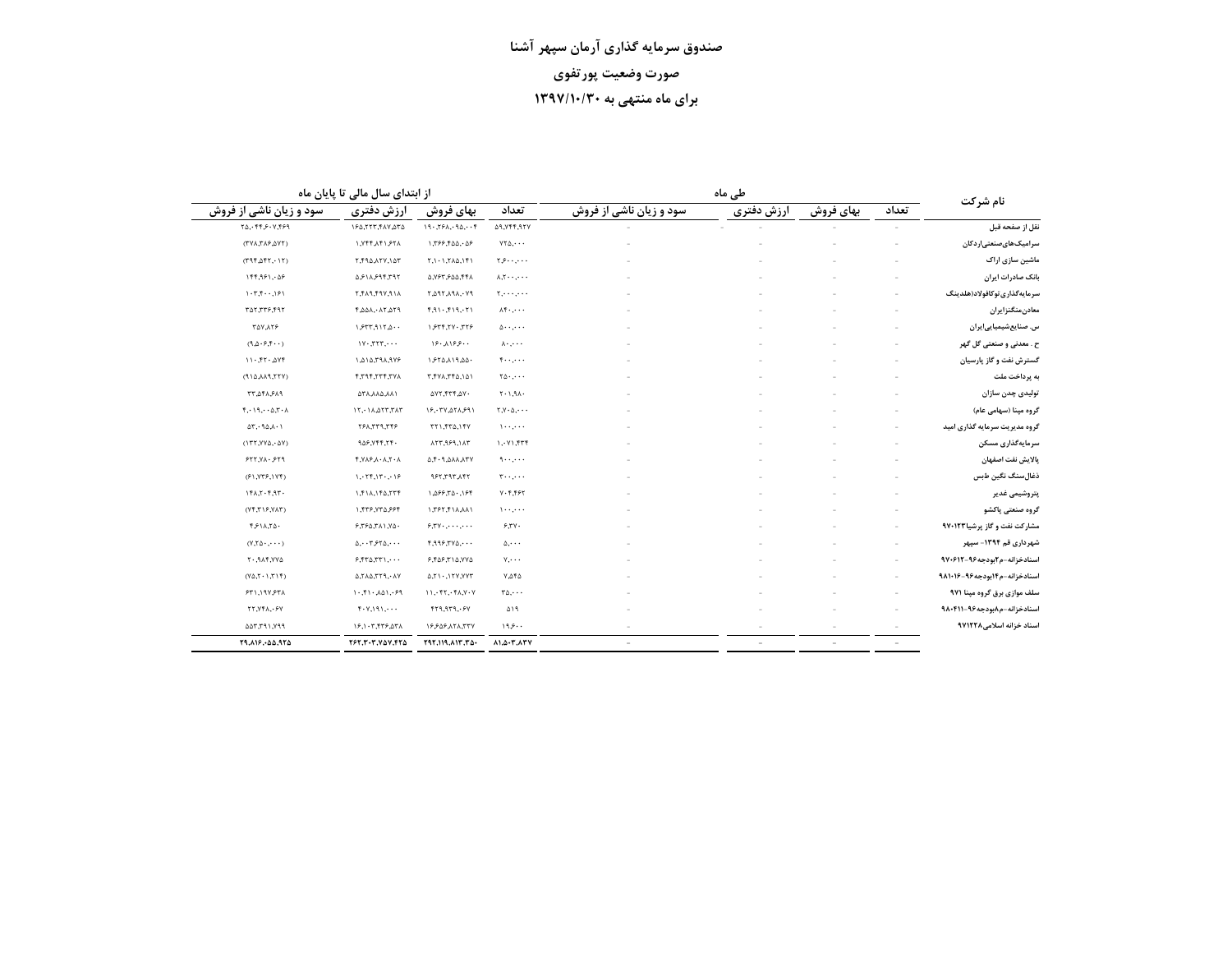|                               |                          |           | طی ماہ     |                          |                                                             |                                                                             | از ابتدای سال مالی تا پایان ماه                           |                                                        |
|-------------------------------|--------------------------|-----------|------------|--------------------------|-------------------------------------------------------------|-----------------------------------------------------------------------------|-----------------------------------------------------------|--------------------------------------------------------|
| نام شرکت                      | تعداد                    | بهای فروش | ارزش دفترى | سود و زیان ناشی از فروش  | تعداد                                                       | بهای فروش                                                                   | ارزش دفترى                                                | سود و زیان ناشی از فروش                                |
| نقل از صفحه قبل               |                          |           |            |                          | <b>AR, YFF, RYY</b>                                         | 19.79A.90.07                                                                | ١۶۵,٢٢٣, ٢٨٧,٥٣٥                                          | $Y_0, Y_1, Y_2, Y_1, Y_2, Y_3$                         |
| امیک های صنعتی ار دکان        |                          |           |            |                          | $VT\Delta, \cdots$                                          | 1,799,400,.09                                                               | ٢٨٤ ١ ٢٩٨.٢٢٨.                                            | $(TV\lambda, T\lambda, P, \Delta VT)$                  |
| ماشین سازی اراک               |                          |           |            |                          | $\gamma$                                                    | $\Upsilon, \Upsilon, \Upsilon, \Upsilon, \Lambda \Delta, \Upsilon \Upsilon$ | ٢,٢٩٥,٨٢٧,١٥٣                                             | $(T9f,\Delta f7,\cdot 17)$                             |
| بانک صادرات ایران             |                          |           |            |                          | $\lambda, \tilde{\lambda}, \ldots, \ldots$                  | 5, YST SQQ, 441                                                             | ۵٫۶۱۸٫۶۹۴٫۳۹۲                                             | 144,981,08                                             |
| سرمايەگذارى توكافولاد(هلدينگ  |                          |           |            |                          | $\mathbf{y}, \dots, \dots$                                  | ٢, ١٩٨, ٢٩٨, ٢٩                                                             | ١/ ٩,٧٩٩,٩١٨,٢                                            | $1 - 1.7 +  191$                                       |
| معادنمنگنزايران               |                          |           |            |                          | $\Lambda$ f                                                 | f, 91, f19, 71                                                              | ٢,٥٥٨,٠٨٢,٥٢٩                                             | ٣٥٢,٣٣۶,۴٩٢                                            |
| س. صنایعشیمیاییایران          |                          |           |            |                          | $\Delta$                                                    | 1577,717.779                                                                | 1.577, 117.0                                              | <b>TAV 178</b>                                         |
| ح . معدنی و صنعتی گل گهر      |                          |           |            |                          | $\lambda \cdot \ldots$                                      | ۱۶۰٫۸۱۶٫۶۰۰                                                                 | $1Y - TY, \cdots$                                         | (9, 0.9, 9, 6)                                         |
| گسترش نفت و گاز پارسیان       |                          |           |            |                          | ۰۰,۰۰۰ ک                                                    | 1.550, 119, 00.                                                             | ١,۵١۵,٣٩٨,٩٧۶                                             | 11.77.04                                               |
| به پرداخت ملت                 |                          |           |            |                          | $\mathbf{Y} \Delta \cdot \mathbf{y} \cdot \mathbf{y}$       | ٥١,٥١,٣٣٨,٢٢                                                                | X,Y,Y,Y,Y,Y                                               | (110,0.11,0.17)                                        |
| نولیدی چدن سازان              |                          |           |            |                          | $T - 1.9A$                                                  | ١٧٢,٢٣٢,٥٧٠                                                                 | ١٨٨, ١٨٨, ٢٨                                              | ٣٣,٥۴٨,۶٨٩                                             |
| گروه مینا (سهامی عام)         |                          |           |            |                          | $\Upsilon, \Upsilon \cdot \Delta, \cdot \cdot \cdot$        | ۱۶,۰۳۷,۵۲۸,۶۹۱                                                              | 15.1A, 257, 717                                           | $f, \cdot \mid 9, \cdot \cdot \Delta, 7 \cdot \Lambda$ |
| گروه مدیریت سرمایه گذاری امید | $\overline{\phantom{a}}$ |           |            |                          | $\cdots$                                                    | <b>TT1, FT4, IFV</b>                                                        | 377,779,747                                               | $\Delta \Upsilon$ , $90 \lambda \cdot 1$               |
| سرمایهگذاری مسکن              |                          |           |            |                          | $\mathcal{N}, \mathcal{N}, \mathcal{N}$                     | 117,969,117                                                                 | 909,999,79.                                               | $(177, YY\Delta, \Delta Y)$                            |
| بالايش نفت اصفهان             |                          |           |            |                          | ۰۰٬۰۰۰                                                      | 0, 1, 1, 0, 0, 0, 0, 0, 0                                                   | $f, Y \wedge f, \wedge \cdot \wedge, \wedge \cdot \wedge$ | 577, 71.579                                            |
| ذغال سنگ نگین طبس             |                          |           |            |                          | $T \cdot \cdot \cdot \cdot \cdot$                           | <b>771,797,197</b>                                                          | 1, 75, 15, 16                                             | (51, Y55, Y5)                                          |
| پتروشیمی غدیر                 |                          |           |            |                          | $Y - F$ , $F F$                                             | $1, \Delta$ ۶۶,٣ $\Delta$ ۰,۱۶۴                                             | $1, f1\lambda, 1f0, 77f$                                  | 151.7.7.97.                                            |
| گروه صنعتی پاکشو              |                          |           |            |                          | $1 - 1 - 1 - 1$                                             | 1,797,711,111                                                               | 1,446,740,994                                             | $(Yf,T)F,Y\wedge T)$                                   |
| مشارکت نفت و گاز پرشیا۹۷۰۱۲۳  | $\sim$                   |           |            |                          | 5.54                                                        | $5.5$ Y $\cdot$ , $\cdot$ $\cdot$ , $\cdot$ $\cdot$                         | 5,750,711,70.                                             | $f(f \wedge \Lambda, \Upsilon \wedge \cdot$            |
| شهرداری قم ۱۳۹۴- سیهر         |                          |           |            |                          | $\Delta$                                                    | $f,999,740, \cdots$                                                         | $0, \cdot \cdot \tau$ , $5\tau 0, \cdot \cdot \cdot$      | $(Y,\uparrow\Delta\cdot\ldots)$                        |
| اسنادخزانه-م۲بودجه۹۶-۹۷۰۶۱۲   |                          |           |            |                          | $Y, \cdots$                                                 | ۶,۴۵۶,۳۱۵,۷۷۵                                                               | $F,$ $fT\Delta,$ $TT\Delta,$                              | <b>AYY, 718, 17</b>                                    |
| اسنادخزانه-م۱۴بودجه۹۶-۹۸۱۰۱۶  | $\sim$                   |           |            |                          | $Y, \Delta \uparrow \Delta$                                 | 0, 11, 117, 177, 177                                                        | $0,7\lambda0,779,04V$                                     | $(Y\Delta, Y\cdot Y, T\vee F)$                         |
| سلف موازی برق گروه مپنا ۹۷۱   |                          |           |            |                          | $r_{\Delta, \cdots}$                                        | 11, 557, 56, 70                                                             | 1.51.01.99                                                | ۶۳۱,۱۹۷,۶۳۸                                            |
| اسنادخزانه-م۸بودجه۹۶-۹۸۰۴۱۱   |                          |           |            |                          | ۵۱۹                                                         | $Y^2, P^2, P^2$                                                             | $f \cdot Y, \forall \gamma, \ldots$                       | <b>TT.VFA.</b> . ۶Y                                    |
| اسناد خزانه اسلامی۱۲۲۸        |                          |           |            |                          | ۱۹۶۰۰                                                       | 18808171,777                                                                | ١۶,١٠٣,۴٣۶,۵٣٨                                            | ٣٩٧, ١٣٦, 7٥                                           |
|                               |                          |           |            | $\overline{\phantom{a}}$ | $\lambda$ 1, $\Delta$ - $\Upsilon$ , $\lambda$ $\Upsilon$ Y | $197,119, \text{A17}, 70.$                                                  | ٢۶٢,٢٠٣,٧۵٧,۴٢۵                                           | 19, 19, - 55, 975                                      |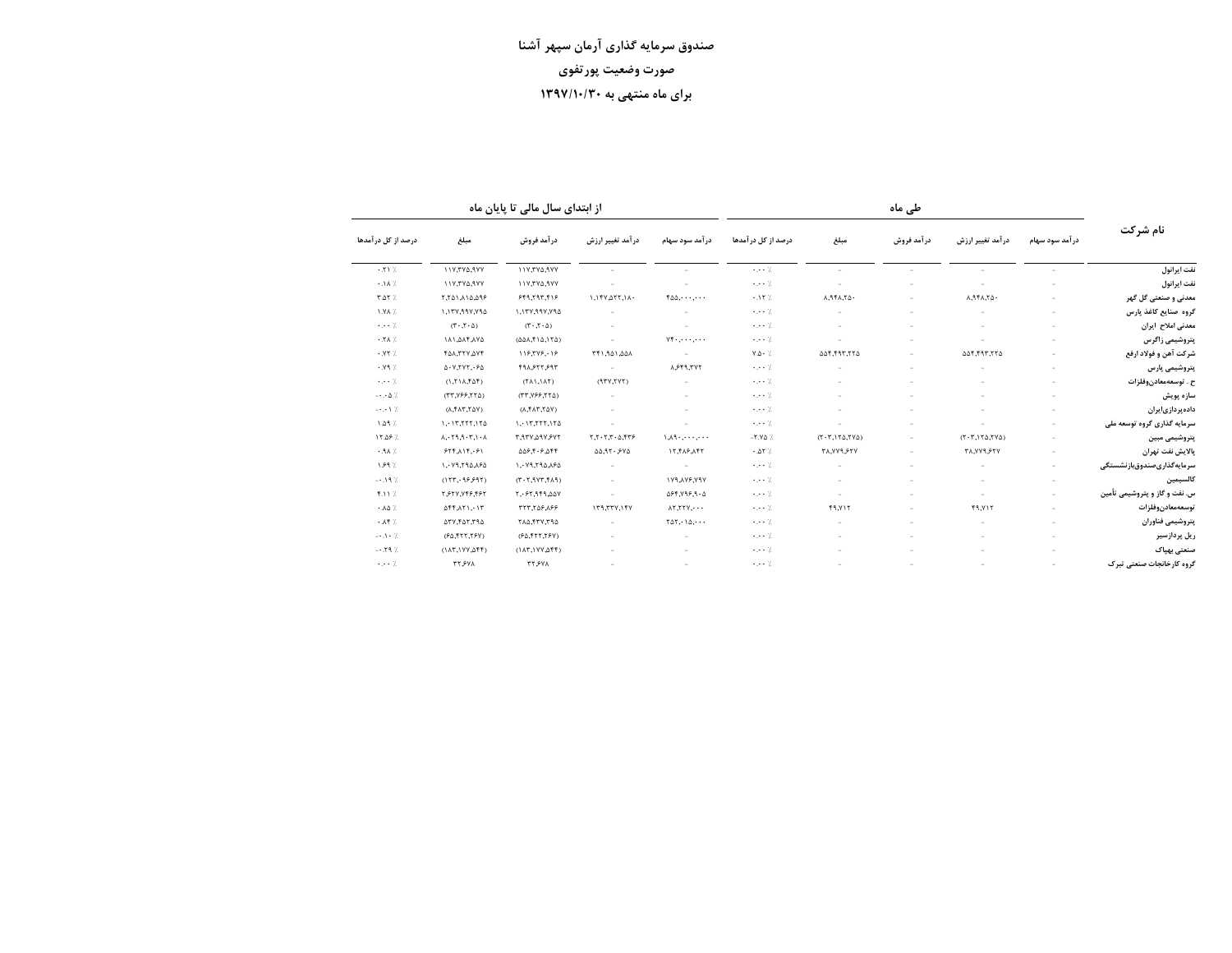از ابتدای سال مالی تا پایان ماه

|                                          |                                                                              |                                                                                         |                                    |                                                             |                              |                       |                          |                                    |                          |                               | نام شرکت |
|------------------------------------------|------------------------------------------------------------------------------|-----------------------------------------------------------------------------------------|------------------------------------|-------------------------------------------------------------|------------------------------|-----------------------|--------------------------|------------------------------------|--------------------------|-------------------------------|----------|
| درصد از کل در آمدها<br>مبلغ              | در آمد فروش                                                                  | درآمد تغییر ارزش                                                                        | در آمد سود سهام                    | درصد از کل در آمدها                                         | مبلغ                         | در آمد فروش           | در آمد تغییر ارزش        | در آمد سود سهام                    |                          |                               |          |
| $+51%$                                   | ١١٧,٢٧٥,٩٧٧                                                                  | ١١٧,٣٧٥,٩٧٧                                                                             |                                    |                                                             | $\cdots$ 7.                  |                       |                          |                                    |                          | نفت ايرانول                   |          |
| $.1A$ %                                  | <b><i>NYTYARYY</i></b>                                                       | ١١٧,٣٧٥,٩٧٧                                                                             |                                    |                                                             | 7.                           |                       |                          |                                    |                          | نفت ايرانول                   |          |
| $T \Delta T$ %                           | 7,701,10,098                                                                 | 999, 797, 619                                                                           | $1.1fY_{\cdot}0fY_{\cdot}1\Lambda$ | $f \Delta \Delta, \cdots, \cdots$                           | .17%                         | $A,9fA,7\Delta$       |                          | $A, A \uparrow A, \uparrow \Delta$ |                          | معدنی و صنعتی گل گهر          |          |
| 1.YA %                                   | ١,١٣٧,٩٩٧,٧٩٥                                                                | ١,١٣٧,٩٩٧,٧٩٥                                                                           |                                    |                                                             | $\cdots$ 7.                  |                       |                          |                                    |                          | گروه صنایع کاغذ پارس          |          |
| $\cdots$ 7.                              | $(T \cdot T \cdot \Delta)$                                                   | $(T \cdot T \cdot \Delta)$                                                              | $\sim$                             | $\sim$                                                      | $\cdots$ 7.                  |                       |                          |                                    |                          | معدنى املاح ايران             |          |
| $\cdot$ . Y A $\frac{1}{2}$              | 141, 244, 474                                                                | $(\Delta\Delta\lambda,\mathfrak{f}\setminus\Delta,\mathfrak{l}\uparrow\Delta)$          | $\sim$                             | $Y^*$                                                       | $\cdots$ 7.                  |                       |                          |                                    |                          | يتروشيمى زاگرس                |          |
| .177                                     | <b>TAA,TTV,AVF</b>                                                           | 119,779,09                                                                              | ٨٥٨, ١٥٩, ٢۴١,                     | ٠                                                           | $Y \Delta \cdot \frac{1}{2}$ | 604,497,776           | $\overline{\phantom{a}}$ | 664,797,776                        | $\overline{\phantom{a}}$ | شركت آهن و فولاد ارفع         |          |
| .19                                      | 0.17.747.90                                                                  | ۴۹۸٫۶۲۲٫۶۹۳                                                                             | $\sim$                             | ٢٧٣,٢٩٩                                                     | $\cdots$ 7.                  |                       |                          |                                    |                          | پتروشیمی پارس                 |          |
| $\cdots$ 7.                              | (1, 111, 161)                                                                | $(\uparrow \wedge \wedge \wedge \wedge \uparrow)$                                       | (1YY,YYY)                          | $\sim$                                                      | $\cdots$ 7.                  | $\sim$                | $\overline{\phantom{a}}$ | ÷                                  | $\sim$                   | ح . توسعەمعادنوفلزات          |          |
| $-\cdot \cdot \Delta$ %                  | $(TT,YFF,YT\Delta)$                                                          | (TT,Y99,570)                                                                            | ٠                                  | $\sim$                                                      | $\cdots$ 7.                  | $\sim$                |                          |                                    | $\sim$                   | سازه پویش                     |          |
| $ \cdot$ $\cdot$ $\cdot$ $\frac{7}{1}$ . | $(Y\Delta Y, T\Delta Y, \Lambda)$                                            | $(\lambda, \mathsf{f} \lambda \mathsf{f}, \mathsf{f} \Delta \mathsf{Y})$                | $\sim$                             | $\sim$                                                      | $\cdots$ 7.                  | $\sim$                |                          |                                    | $\sim$                   | داده پر دازی ایر ان           |          |
| $1.09$ %                                 | 1.117, 177, 170                                                              | 1.117, 177, 170                                                                         |                                    |                                                             | $\cdots$ 7.                  |                       |                          |                                    | $\sim$                   | سرمایه گذاری گروه توسعه ملی   |          |
| / ١٢.٥۶                                  | $\lambda$ , $\cdot$ $\tau$ , $\theta$ , $\cdot$ $\tau$ , $\cdot$ , $\lambda$ | ٣,٩٣٧,٥٩٧,۶٧٢                                                                           | Y,Y,Y,Y                            | $1, 1, 2, \ldots, 2, 1, 1$                                  | $-Y.Y\Delta$ %               | $(T-T,1T\Delta, TVA)$ | $\overline{\phantom{a}}$ | $(T-T, Y_{\Delta}, Y_{\Delta})$    | $\sim$                   | پتروشیمی مبین                 |          |
| $.9A$ %                                  | 555115.51                                                                    | $\Delta \Delta \mathcal{F}, \mathbf{f} \cdot \mathcal{F}, \Delta \mathbf{f} \mathbf{f}$ | 0.377.540                          | 17,41,9,41                                                  | .27                          | <b>٣٨,٧٧٩,۶٢٧</b>     |                          | <b>٣٨,٧٧٩,۶٢٧</b>                  |                          | بالايش نفت تهران              |          |
| 1.89%                                    | 1. 79,790,090                                                                | ١,٠٧٩,٢٩٥,٨۶٥                                                                           | $\sim$                             |                                                             | $\cdots$ 7.                  |                       |                          |                                    | $\sim$                   | سرمايه گذارىصندوقبازنشستگى    |          |
| $-0.19$ %                                | (157, 99997)                                                                 | $(PA^2,7Y^2,7Y^2)$                                                                      | $\sim$                             | <b>۱۷۹٬۸۷۶٬۷۹۷</b>                                          | $\cdots$ 7.                  |                       |                          |                                    | $\sim$                   | كالسيمين                      |          |
| <b>F.117.</b>                            | ٢,۶٢٧,٧۴۶,۴۶٢                                                                | ٥٨٧,٩٢٩,٥٢,٠۶٢                                                                          |                                    | $\Delta$ ۶۴,۷۹۶,۹۰ $\Delta$                                 | $\cdots$ 7.                  |                       |                          | ×.                                 | $\sim$                   | س. نفت و گاز و پتروشیمی تأمین |          |
| $\cdot \Lambda \Delta$ /.                | $\Delta f f \Lambda f$ 1, 15                                                 | 991907,777                                                                              | 179,777,157                        | $\lambda$ $\mathsf{Y}$ . $\mathsf{Y}$ $\mathsf{Y}$ $\cdots$ | $\cdots$ 7.                  | <b>F9.VIT</b>         |                          | <b>F9.YIT</b>                      |                          | توسعهمعادنوفلزات              |          |
| $\cdot \Lambda$ ۴ /                      | 177,744,794                                                                  | 710,477,794                                                                             |                                    | $\Upsilon \Delta \Upsilon$ , $\Upsilon \Delta$ , $\cdots$   | $\cdots$ 7.                  |                       |                          |                                    |                          | يتروشيمى فناوران              |          |
| $-1.1 - 7.$                              | (۶۵,۴۲۲,۲۶۷)                                                                 | (90, 557, 790)                                                                          |                                    |                                                             | $\cdots$ 7.                  |                       |                          |                                    |                          | ریل پردازسیر                  |          |
| $-.79$ %                                 | (115,100,255)                                                                | $(1AT,1YY, \Delta FF)$                                                                  |                                    |                                                             | $\cdots$ 7.                  |                       |                          |                                    |                          | صنعتى بهباك                   |          |
| $\cdots$ 7.                              | <b>TT.SVA</b>                                                                | <b>TT.FVA</b>                                                                           |                                    |                                                             | $\cdots$ 7.                  |                       |                          |                                    |                          | گروه کارخانجات صنعتی تبرک     |          |

طی ماہ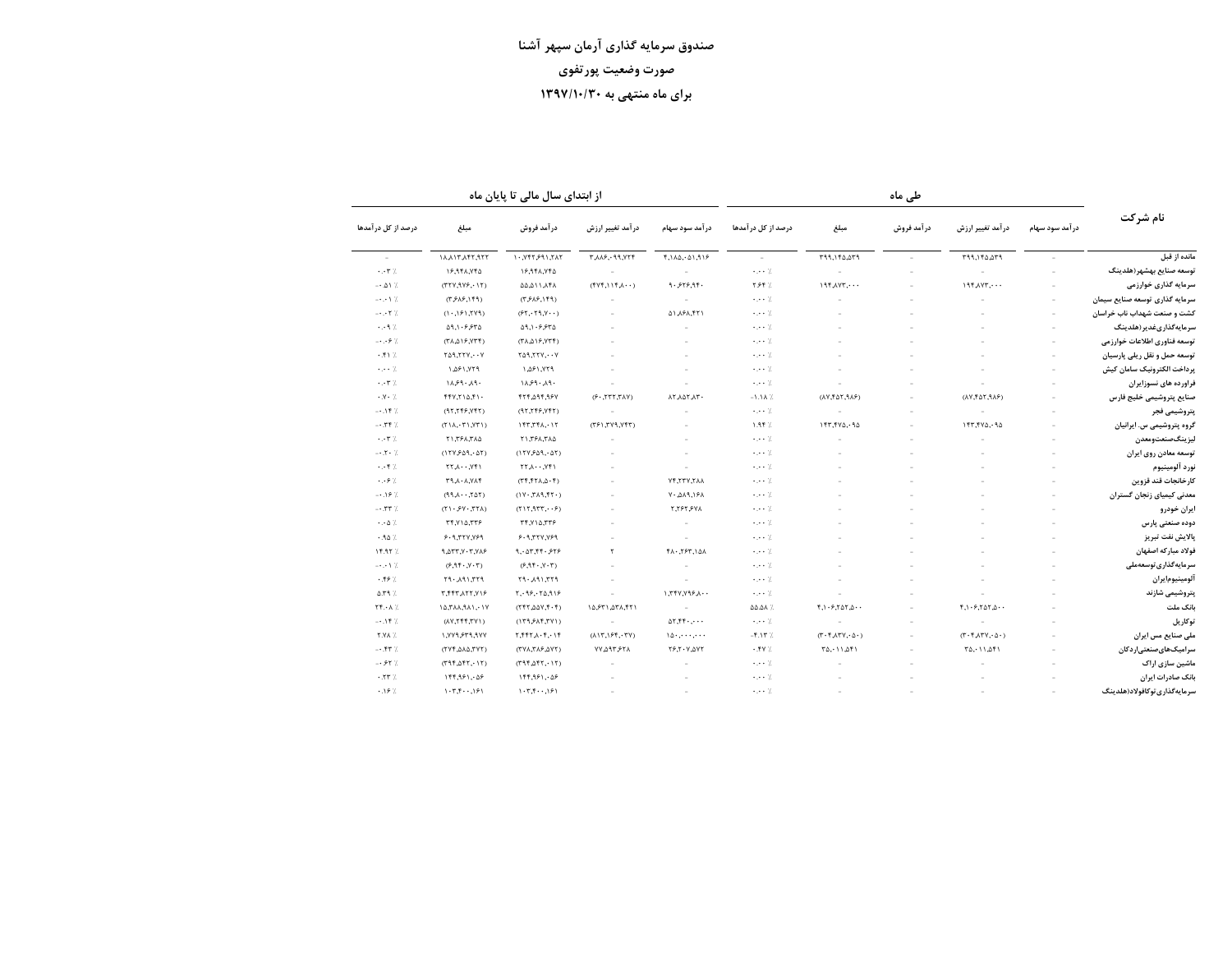از ابتدای سال مالی تا پایان ماه

|                                | طی ماہ          |                                                                                     |             |                                                |                                | از ابتدای سال مالی تا پایان ماه |                                                                                |                                                             |                                                                 |                                                                                                     |
|--------------------------------|-----------------|-------------------------------------------------------------------------------------|-------------|------------------------------------------------|--------------------------------|---------------------------------|--------------------------------------------------------------------------------|-------------------------------------------------------------|-----------------------------------------------------------------|-----------------------------------------------------------------------------------------------------|
| نام شرکت                       | در آمد سود سهام | در آمد تغییر ارزش                                                                   | در آمد فروش | مبلغ                                           | درصد از کل در آمدها            | در آمد سود سهام                 | در آمد تغییر ارزش                                                              | در آمد فروش                                                 | مبلغ                                                            | درصد از کل در آمدها                                                                                 |
| مانده از قبل                   |                 | ٣٩٩,١۴٥,٥٣٩                                                                         |             | ٣٩٩,١۴۵,٥٣٩                                    | $\sim$                         | 418,140,01,918                  | <b>T.A.R.</b> . 99. YTF                                                        | 1.787591.717                                                |                                                                 |                                                                                                     |
| توسعه صنايع بهشهر (هلدينگ      |                 | i.                                                                                  |             | ÷                                              | 7.                             | $\sim$                          | $\sim$                                                                         | ١۶,٩۴٨,٧۴۵                                                  | ١۶,٩۴٨,٧۴۵                                                      | $\cdot$ .<br><br><br>$\tau$ /                                                                       |
| سرمایه گذاری خوارزمی           |                 | $19f\lambda VT$                                                                     |             | $197,197, \cdots$                              | / ٢.۶۴                         | 9.555.98.                       | $(YYf, I)YA \cdots$                                                            | A71.114.44                                                  | (TY, YY, YY, YY)                                                | $-0.21$ %.                                                                                          |
| سرمایه گذاری توسعه صنایع سیمان |                 |                                                                                     |             |                                                | $\cdots$ 7.                    | a.                              |                                                                                | $(T, 9\lambda, 9, 159)$                                     | $(T, P \wedge P, \wedge P)$                                     | $-1.1$                                                                                              |
| کشت و صنعت شهداب ناب خراسان    |                 |                                                                                     |             |                                                | $\cdots$ 7.                    | ٢٢١,٨۶٨ ٥١                      |                                                                                | $(55.79.7 \cdot \cdot)$                                     | (1.191, 191)                                                    | $- \cdot$ .<br><br><br><br><br><br><br><br><br><br><br><br><br><br><br><br><br><br><br><br><br><br> |
| سرمايەگذارىغدير(هلدينگ         |                 |                                                                                     |             |                                                | $\cdots$ 7.                    |                                 |                                                                                | $\Delta$ 9, 1 · $\varphi$ , $\varphi$ T $\Delta$            | $\Delta$ 9,1.6,87 $\Delta$                                      | $\cdots$ ۹%                                                                                         |
| توسعه فناوري اطلاعات خوارزمي   |                 |                                                                                     |             |                                                | $\cdot$ , $\cdot$ , $\cdot$ /, |                                 |                                                                                | $(T\Lambda, \Delta)$ $5, YTf$ )                             | $(T\Lambda, \Delta)$ $5, YTT$                                   | $ \cdot$ $\cdot$ $\cdot$ $\cdot$ $\cdot$                                                            |
| توسعه حمل و نقل ریلی پارسیان   |                 |                                                                                     |             |                                                | $\cdot$ , $\cdot$ , $\cdot$ /, |                                 |                                                                                | $Y \triangle Y, Y Y Y, \cdots Y$                            | $Y \wedge Y, Y \wedge Y, Y$                                     | $+11.7$                                                                                             |
| يرداخت الكترونيك سامان كيش     |                 |                                                                                     |             |                                                | $\cdots$ 7.                    |                                 |                                                                                | ١,۵۶١,٧٢٩                                                   | $P$ 77, $P$ $Q$ , $P$                                           | $\cdots$ 7.                                                                                         |
| فراورده های نسوزایران          |                 |                                                                                     |             |                                                | $\cdots$ 7.                    |                                 |                                                                                | 11.99.19.                                                   | 11.99.19.                                                       | $\cdot \cdot$ ۳%                                                                                    |
| صنايع پتروشيمي خليج فارس       |                 | $(\lambda Y, f \Delta Y, \theta \lambda F)$                                         |             | $(XY, Y\Delta Y, Y\Delta F)$                   | $-1.1A$ %                      | AT JAT JT.                      | $(Y \wedge T, T \wedge T, \neg Y)$                                             | ٢٢۴,٥٩۴,٩۶٧                                                 | $f f V, T \Delta, f \Delta$                                     | $\cdot$ Y $\cdot$ %                                                                                 |
| يتروشيمى فجر                   |                 | $\sim$                                                                              |             | ×,                                             | $\cdots$ 7.                    |                                 | ×,                                                                             | (177, 777, 77)                                              | (97, 779, 777)                                                  | $-0.19$ %                                                                                           |
| گروه پتروشیمی س. ایرانیان      |                 | ١۴٣,۴٧٥,٠٩٥                                                                         |             | ١۴٣,۴٧٥,٠٩٥                                    | 1.97%                          |                                 | (771,779,777)                                                                  | 157,751,017                                                 | (171, 171, 171)                                                 | $-0.777$                                                                                            |
| ليزينگصنعتومعدن                |                 |                                                                                     |             |                                                | $\cdots$ 7.                    |                                 |                                                                                | ٢١,٢۶٨,٢٨٥                                                  | ٢١,٢۶٨,٣٨٥                                                      |                                                                                                     |
| توسعه معادن روى ايران          |                 |                                                                                     |             |                                                | $\cdots$ 7.                    |                                 |                                                                                | (17Y, 69, 07)                                               | $(17Y, P\Delta 9, \cdot \Delta 7)$                              | $-1.7.7$                                                                                            |
| نورد آلومينيوم                 |                 |                                                                                     |             |                                                | $\cdot$ , $\cdot$ , $\cdot$ /, |                                 |                                                                                | $\uparrow\uparrow\downarrow\cdots,\uparrow\uparrow\uparrow$ | $\uparrow\uparrow,\uparrow,\cdot\cdot,\uparrow\uparrow\uparrow$ | $\cdots$ $\uparrow$ /                                                                               |
| كارخانجات قند قزوين            |                 |                                                                                     |             |                                                | $\cdot$ , $\cdot$ , $\cdot$ /, | <b>NF, YTY, YAA</b>             |                                                                                | (7.6.1777)                                                  | <b>TAV.A.A.PT</b>                                               | $\cdot$                                                                                             |
| معدنی کیمیای زنجان گستران      |                 |                                                                                     |             |                                                | 7.                             | $V - \Delta\lambda$ ۹,۱۶۸       |                                                                                | $(1Y - TAA, fY)$                                            | $(707, \cdot \cdot \cdot \wedge \beta)$                         | $-0.19$ %                                                                                           |
| ايران خودرو                    |                 |                                                                                     |             |                                                | 7.                             | ٢,٢۶٢,۶٧٨                       |                                                                                | (515, 955, 66)                                              | $(Y \setminus \mathcal{S} Y \cdot \mathcal{X} Y)$               | $-0.57$ %                                                                                           |
| دوده صنعتی پارس                |                 |                                                                                     |             |                                                | 7.                             | - 11                            |                                                                                | ٢۴,٧١٥,٣٣۶                                                  | ۳۴,٧١۵,٣٣۶                                                      | $\cdot \cdot \omega$ /                                                                              |
| پالایش نفت تبریز               |                 |                                                                                     |             |                                                | $\cdots$ 7.                    | $\sim$                          |                                                                                | 9.9777.99                                                   | 9.9777.99                                                       | .90%                                                                                                |
| فولاد مباركه اصفهان            |                 |                                                                                     |             |                                                | $\cdots$ 7.                    | FA-, TPT, IQA                   | $\mathbf{r}$                                                                   | 9.07.55.979                                                 | 9.277.77.77A.                                                   | / ١۴.٩٢                                                                                             |
| سرمایهگذاری توسعهملی           |                 |                                                                                     |             |                                                | $\cdots$ 7.                    |                                 |                                                                                | (9,95,95,75)                                                | (7.17, 1.77)                                                    | $\rightarrow$ .<br><br><br><br><br><br><br><br><br><br><br>                                         |
| آلومينيومايران                 |                 |                                                                                     |             |                                                | $\cdots$ .                     |                                 |                                                                                | PTT, IPL, PTT                                               | P77, IPP, P7                                                    | .59%                                                                                                |
| پتروشیمی شازند                 |                 |                                                                                     |             |                                                | $\cdots$ /                     | 1,777,799,1.                    | ÷                                                                              | Y, 99, 10, 99                                               | ٢, ۴۴٣, ١٢٢, ٢, ٣                                               | $\Delta$ .۳۹%                                                                                       |
| بانک ملت                       |                 | $f, \mathcal{N} \cdot f, \mathcal{N} \Delta \mathcal{N}, \Delta \cdot \cdot$        |             | $f_1 \cdot f_1 f_2 f_3 f_4 \cdot \cdot$        | <b>44.44 %</b>                 | $\sim$                          | 10, ۶۳١, ۵۳٨, ۴۲١                                                              | (15.001, 5.01)                                              | $10,7$ $\lambda$ , $9$ , $1$ , $1$ $\gamma$                     | $\mathbf{Y} \mathbf{F} \cdot \mathbf{A}$ /                                                          |
| توكاريل                        |                 |                                                                                     |             |                                                | $\cdot$ , $\cdot$ 7.           | $\Delta Y, YY \cdot \ldots$     | $\sim$                                                                         | (179,945,771)                                               | (1Y, YYY, YY)                                                   | $-0.1$ ۴%                                                                                           |
| ملی صنایع مس ایران             |                 | $(T - f \wedge T) \vee (r \wedge r)$                                                |             | $(T \cdot Y, \lambda Y Y, \cdot \Delta \cdot)$ | $-F.1T$ %                      | 10.77                           | $(\lambda \mid \Upsilon, \vert \mathcal{F} \Upsilon, \cdot \Upsilon \Upsilon)$ | $Y, YY, A \cdot Y, \cdot Y$                                 | ٧٧٩, ٢٣٩, ٩٧٧, ١                                                | <b>T.VA</b> %                                                                                       |
| سراميكهاى صنعتى اردكان         |                 | $\uparrow \vartriangle, \cdot \upharpoonright \wedge, \vartriangle \uparrow \wedge$ |             | $T\Delta, 11. \Delta F1$                       | $.$ fv $\%$                    | ٢۶,٢٠٧, ٥٧٢                     | ٢٧,٥٩٣,۶٢٨                                                                     | $(TVA, TAP, \Delta VT)$                                     | (117.010,111)                                                   | $-0.57$ %                                                                                           |
| ماشین سازی اراک                |                 |                                                                                     |             |                                                | $\cdots$ 7.                    |                                 |                                                                                | $(T9f,\Delta f1,\cdot 11)$                                  | $(T9f,\Delta f7,\cdot 17)$                                      | $-0.55$                                                                                             |
| بانک صادرات ایران              |                 |                                                                                     |             |                                                | $\cdots$ 7.                    |                                 |                                                                                | 155, 951, 08                                                | 144,981,08                                                      | $\cdot$ .<br>TT $\,$ /.                                                                             |
| سرمايەگذارى توكافولاد(هلدينگ   |                 |                                                                                     |             |                                                | $\cdot$ , $\cdot$ 7.           |                                 |                                                                                | $1 - 1.7 +  + 9$                                            | $1 - 1.7 +  191$                                                | .19%                                                                                                |

طی ماہ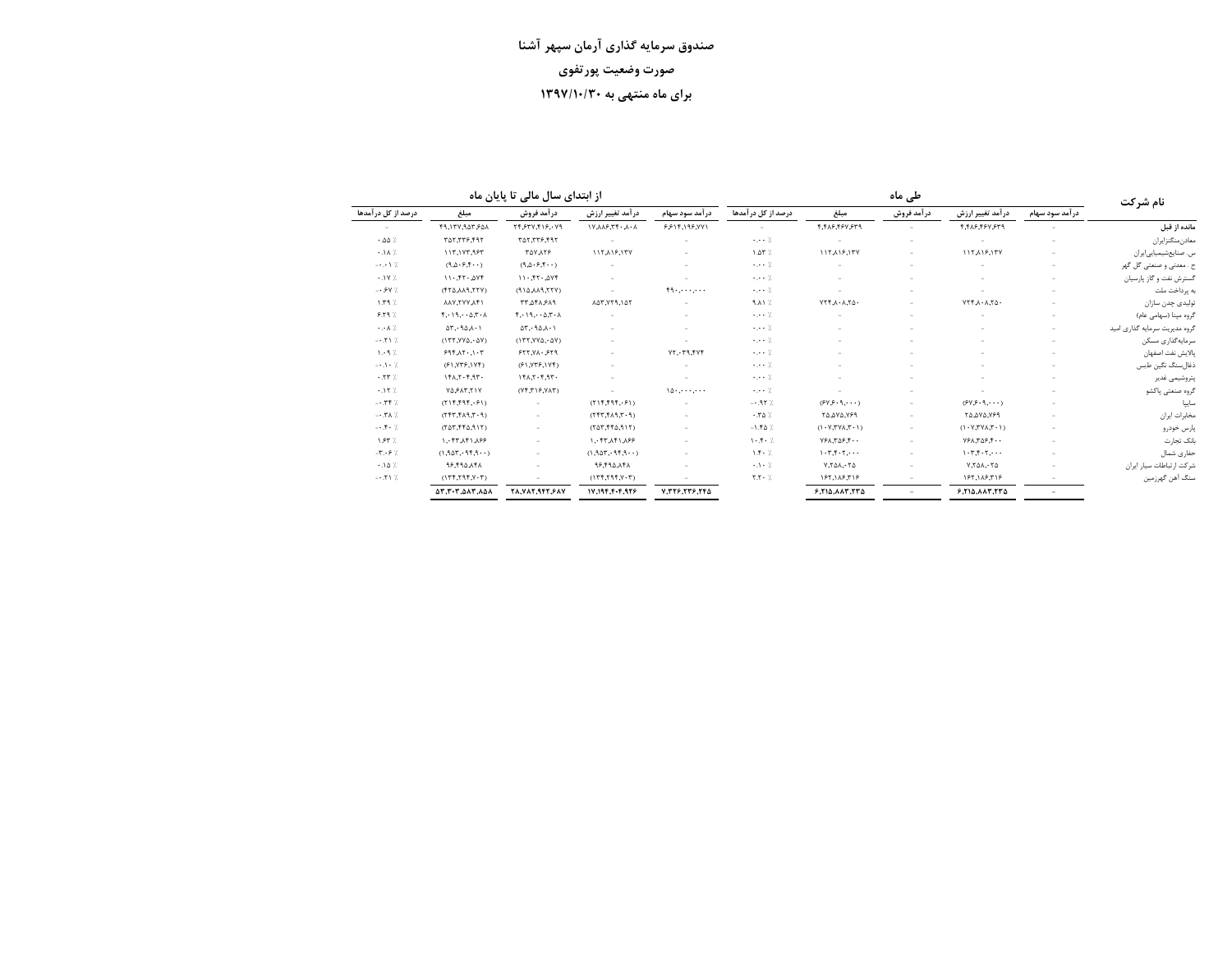از ابتدای سال مالی تا پایان ماه

|                               |                                                  | از ابتدای سال مالی تا پایان ماه      |                                                              |                       |                               |                                                                         | نام شرکت    |                                                                     |                          |                               |
|-------------------------------|--------------------------------------------------|--------------------------------------|--------------------------------------------------------------|-----------------------|-------------------------------|-------------------------------------------------------------------------|-------------|---------------------------------------------------------------------|--------------------------|-------------------------------|
| درصد از کل در آمدها           | مبلغ                                             | در آمد فروش                          | درآمد تغییر ارزش                                             | در آمد سود سهام       | درصد از کل در آمدها           | مبلغ                                                                    | در آمد فروش | درآمد تغییر ارزش                                                    | در آمد سود سهام          |                               |
|                               | 19,1٣٧,٩٥٣,۶٥٨                                   | ٢۴,۶٣٧,۴١۶,٠٧٩                       | $\lambda \cdot \lambda \cdot 77.3 \lambda \lambda \lambda V$ | ۶۶۱۴,۱۹۶,۷۷۱          |                               | ۴,۴۸۶,۴۶۷,۶۳۹                                                           |             | ۴.۴۸۶.۴۶۷.۶۳۹                                                       |                          | مانده از قبل                  |
| .00%                          | ٣٥٢.٣٣۶.۴٩٢                                      | ٣٥٢.٣٣۶.۴٩٢                          |                                                              |                       | $\cdots$ 7.                   |                                                                         |             |                                                                     |                          | معادن منگنزايران              |
| .14.7                         | 117,197,997                                      | <b>TAY, 179</b>                      | 117,119,177                                                  |                       | $1.07$ %                      | 117, 119, 177                                                           |             | 117, 19, 177                                                        |                          | س. صنایعشیمیایی ایران         |
| $-0.017$                      | (9, 0.9, 9, 1)                                   | (9.0.9.9.9.1)                        |                                                              |                       | $\cdots$ 7.                   |                                                                         |             |                                                                     |                          | گل گھر<br>ح . معدنی و صنعتی   |
| $+1V$ %                       | 11.577.2Yf                                       | 11.51.207                            | ٠                                                            |                       | 7.                            |                                                                         |             |                                                                     |                          | گسترش نفت و گاز پارسیان       |
| $-0.9Y$ %                     | (٢٢٥,٨٨٩,٢٢٧)                                    | $(Y77, PAA, \Delta PP)$              |                                                              | $f_1, \ldots, \ldots$ | $\cdots$ 7.                   |                                                                         |             |                                                                     |                          | به پرداخت ملت                 |
| $1.79$ %                      | <b>ITAVY, YVAA</b>                               | ۴۸٫۶۸۹ -                             | 147.779.147                                                  |                       | $9.11$ %                      | $Y \uparrow \uparrow \ldots \uparrow \uparrow \uparrow \uparrow \cdots$ |             | $V\uparrow\uparrow\ldots\uparrow\downarrow\cdot$                    |                          | تولیدی چدن سازان              |
| $9.79$ %                      | $f \cdot 19 \cdot \cdot \Delta, T \cdot \Lambda$ | $f \cdot 19 \cdots 07 \cdot \Lambda$ |                                                              |                       | $\cdots$ 7.                   |                                                                         |             |                                                                     |                          | گروه مینا (سهامی عام)         |
| $\cdot \cdot \cdot \wedge$ /. | $\Delta \Upsilon$ , $9\Delta \lambda \cdot 1$    | $\Delta \mathsf{r}$ . ۹۵,۸.1         |                                                              | ÷                     | 7.                            |                                                                         |             |                                                                     | $\sim$                   | گروه مدیریت سرمایه گذاری امید |
| $-0.71$ %                     | $(177, YY\Delta, \Delta Y)$                      | (177, YVA, 0Y)                       | ×.                                                           |                       | $\cdots$ 7.                   | $\overline{\phantom{a}}$                                                |             |                                                                     | $\overline{\phantom{a}}$ | سرمايەگذارى مسكن              |
| 1.47                          | 9991.17.1.7                                      | 577, 71.579                          | ×,                                                           | YY, 79, 7Yf           | 7.                            |                                                                         |             |                                                                     | $\sim$                   | بالايش نفت اصفهان             |
| $-1.1.7$                      | (71, 117, 117)                                   | (51, Y55, 1Y5)                       |                                                              |                       | $\cdots$ 7.                   |                                                                         |             |                                                                     |                          | ذغال سنگ نگین طبس             |
| $.77$ $%$                     | 151.7.97.                                        | $1f\lambda,7.7.97.$                  |                                                              |                       | $\cdots$ 7.                   |                                                                         |             |                                                                     |                          | بتروشيمى غدير                 |
| .157                          | <b>YA SAT, TIV</b>                               | (Yf,T19,YAT)                         |                                                              | 10.000                | $\cdots$ 7.                   |                                                                         |             |                                                                     |                          | گروه صنعتی پاکشو              |
| $-.797.$                      | (515, 595, 51)                                   | $\sim$                               | (515, 595, 51)                                               |                       | $-.95%$                       | (949.9.0)                                                               |             | (94.9.9.0)                                                          | $\sim$                   | ساييا                         |
| $-0.7A$ %                     | (1.7, 1.1, 1.7)                                  | $\sim$                               | $(P \cdot 7, P \wedge 7, T \uparrow 7)$                      |                       | .70%                          | ٢٥,٥٧٥,٧۶٩                                                              |             | ٢٥,٥٧٥,٧۶٩                                                          | $\overline{\phantom{a}}$ | مخابرات ايران                 |
| $-0.50 - 7.$                  | $(T\Delta T, ff\Delta,911)$                      | $\sim$                               | $(7\Delta 7, 55\Delta, 917)$                                 | $\sim$                | $-1.50$ %                     | $(1 - Y_\mathsf{Y} Y \mathsf{Y} \mathsf{A}, \mathsf{Y} \cdot 1)$        |             | $(1 - Y_\mathsf{r} Y_\mathsf{r} Y_\mathsf{r} Y_\mathsf{r} \cdot 1)$ | $\overline{\phantom{a}}$ | ٻارس خودرو                    |
| 1.85%                         | ١.٠۴٣.٨۴١.٨۶۶                                    |                                      | ١.٠۴٣.٨۴١.٨۶۶                                                |                       | $1 - 5 - 7$                   | $YFA.T\Delta F.F \cdots$                                                |             | $YFA.T\Delta F.f \cdots$                                            |                          | بانک تجارت                    |
| $-T - 9$ %                    | (1,907,99,99)                                    | $\overline{\phantom{a}}$             | (1.907.999.99)                                               |                       | $1.5 - 7.$                    | 1.7.7.7.7                                                               |             | 1.7.7.7.7.7.7.7                                                     |                          | حفارى شمال                    |
| .10%                          | 18.190.141                                       |                                      | 18.694.98                                                    |                       | $\cdot \cdot$ $\cdot$ $\cdot$ | $V, V \triangle \Lambda, V \triangle$                                   |             | $Y,Y \Delta \Lambda, Y \Delta$                                      |                          | شركت ارتباطات سيار ايران      |
| $-0.71$ %                     | (YY,Y,YY,Y,Y)                                    |                                      | (175, 795, 795)                                              |                       | Y.Y.                          | 188,188,318                                                             |             | 185,118,718                                                         |                          | سنگ آهن گهرزمين               |
|                               | <b>AT.T.T.AAT.AAA</b>                            | 71.717.947.987                       | 17.194.4.479                                                 | 7.٢٢۶.٢٣۶.٢۴۵         |                               | 9.710.117.770                                                           | $\sim$      | 5.710.117.770                                                       | $\overline{\phantom{a}}$ |                               |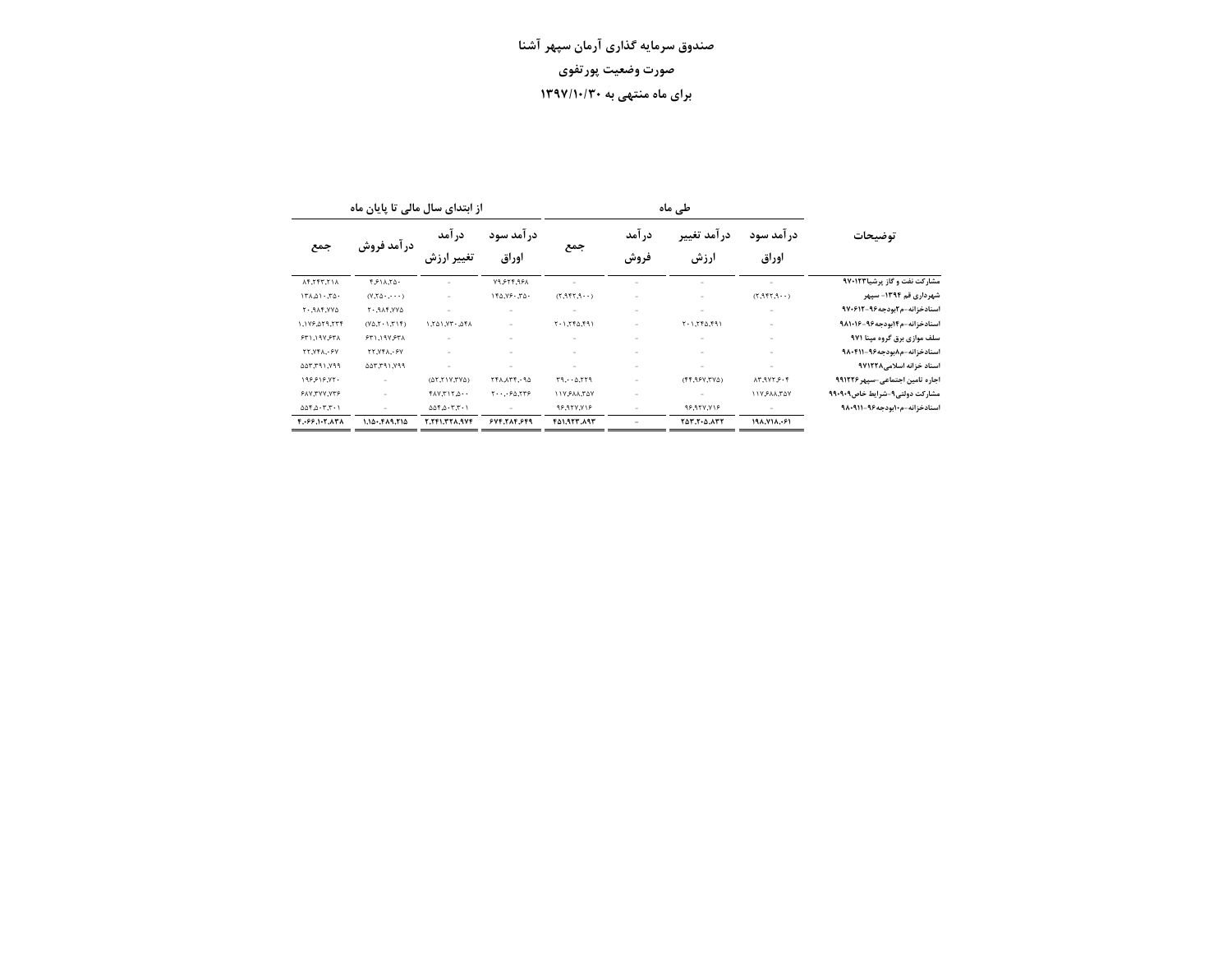|                      | از ابتدای سال مالی تا پایان ماه<br>طی ماہ |                      |                                            |                          |                          |                     |                             |                                 |  |  |
|----------------------|-------------------------------------------|----------------------|--------------------------------------------|--------------------------|--------------------------|---------------------|-----------------------------|---------------------------------|--|--|
| جمع                  | درآمد فروش                                | در آمد<br>تغییر ارزش | در آمد سود<br>اوراق                        | جمع                      | در آمد<br>فروش           | درآمد تغيير<br>ارزش | در آمد سود<br>اوراق         | توضيحات                         |  |  |
| ١٢,٢۴٣,٢١٨           | 1811.74.                                  |                      | 19.574.95                                  |                          |                          |                     |                             | مشارکت نفت و گاز پرشیا۹۷۰۱۲۳    |  |  |
| 151.107.70           | $(V,\Upsilon_0,\ldots,\Upsilon_n)$        | $\sim$               | 110.79.70.                                 | (1.957, 7)               | ÷                        |                     | (1.955, 9.77)               | شهرداری قم ۱۳۹۴- سیهر           |  |  |
| <b>GYY, TAP. . 7</b> | <b>AYY, TAP. . 7</b>                      | ٠                    |                                            | $\overline{\phantom{a}}$ | ÷                        |                     |                             | اسنادخزانه-م۲بودجه۹۶-۹۷۰۶۱۲     |  |  |
| 1,179,879,774        | (17, 17, 17)                              | 1701.77.767.1        | ×,                                         | 197, 177, 177            |                          | 197, 697, 1.7       |                             | اسنادخزانه-م۱۴بودجه۹۶-۱۶-۹۸۱۰   |  |  |
| ٣٢١,١٩٧,۶٣٨          | 571,19157                                 | ٠                    |                                            |                          | -                        |                     | $\overline{\phantom{a}}$    | سلف موازی برق گروه مینا ۹۷۱     |  |  |
| <b>TT.VFA.</b> . 9Y  | <b>٢٢,٧۴٨,٠۶٧</b>                         | ٠                    |                                            |                          |                          |                     |                             | اسنادخزانه-م٨بودجه٩۶-٩٨٠۴١١     |  |  |
| ٧٩٩, ٢٩١, ٥٥٣, ٥٥٣   | ٢٩١,٢٩١,٧٩٩                               | ۰                    |                                            | $\overline{\phantom{a}}$ | -                        |                     | ÷                           | اسناد خزانه اسلامی ۹۷۱۲۲۸       |  |  |
| 198818.75.           | $\sim$                                    | (017,117,76)         | 141.174.10                                 | P77, 0.779               | $\overline{\phantom{m}}$ | (55,997,770)        | 1.9177.947                  | اجاره تامین اجتماعی-سیهر ۹۹۱۲۲۶ |  |  |
| 917,777,779          | -                                         | $+0.717.747$         | $Y \cdots Y \circ \Delta, Y \circ \varphi$ | 117, AAR, YAY            | ۰                        |                     | <b><i>NAT, AAS YILL</i></b> | مشارکت دولتی۹-شرایط خاص۹۰۹۰۹    |  |  |
| 0.05.0.7.7.1         | -                                         | 0.05.0.7.7.1         | $\overline{\phantom{m}}$                   | 96,987,716               | -                        | 96,957,716          | ÷                           | اسنادخزانه-م۱۰بودجه۹۶-۹۸۰۹۱۱    |  |  |
| 4.069.105.838        | $1.10 - 0.01.01$                          | <b>T.TF1.TTA.9VF</b> | 549.719.599                                | 451.922.893              | $\overline{\phantom{0}}$ | <b>TAT.T.A.ATT</b>  | 198.718.051                 |                                 |  |  |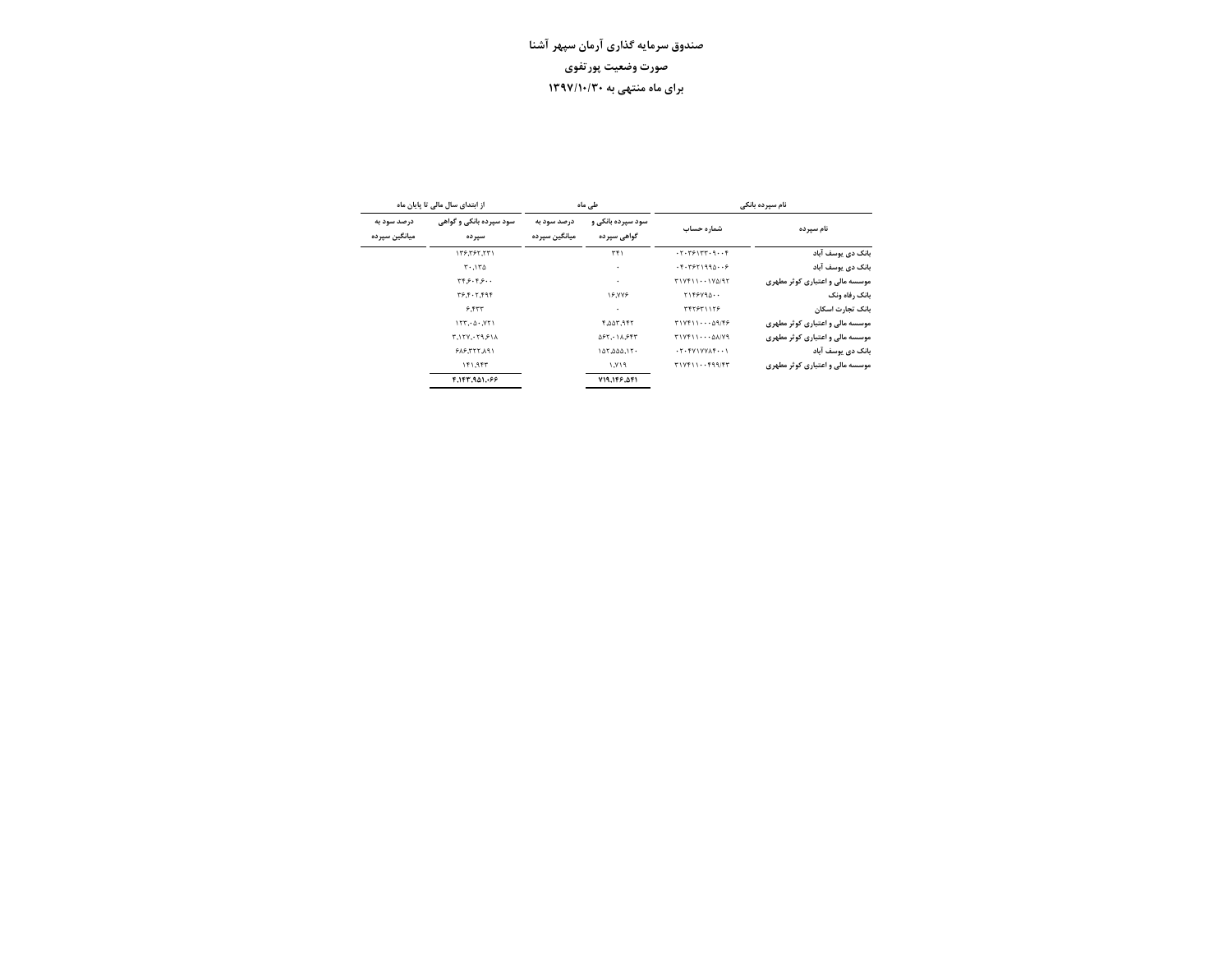|                              | از ابتدای سال مالی تا پایان ماه  |                              | طے ماہ                           | نام سیرده بانکی                                               |                                 |  |
|------------------------------|----------------------------------|------------------------------|----------------------------------|---------------------------------------------------------------|---------------------------------|--|
| درصد سود به<br>میانگین سپرده | سود سیرده بانکی و گواهی<br>سيرده | درصد سود به<br>میانگین سپرده | سود سيرده بانکي و<br>گواهی سیرده | شماره حساب                                                    | نام سیرده                       |  |
|                              | 137,797,771                      |                              | $\tau f$                         | .7.7.771777.9.07                                              | بانک دی یوسف آباد               |  |
|                              | $T^{\ldots}$                     |                              | ٠                                | . 5.7971990. 9                                                | بانک دی یوسف آباد               |  |
|                              | ۰۰ ۶۰۴ و۲۴                       |                              | ٠                                | T1Yf111YQ/9T                                                  | موسسه مالی و اعتباری کوثر مطهری |  |
|                              | 79.5.7.999                       |                              | <b>18.YYE</b>                    | T155Y90                                                       | بانک رفاه ونک                   |  |
|                              | 9.577                            |                              | ٠                                | <b>TFTST11TS</b>                                              | بانک تجارت اسکان                |  |
|                              | 157.0.771                        |                              | <b>۴,۵۵۳,۹۴۲</b>                 | $T1 Vf11 \cdots \Delta 9 / f5$                                | موسسه مالی و اعتباری کوثر مطهری |  |
|                              | ٢,١٢٧,٠٢٩,۶١٨                    |                              | ۵۶۲,۰۱۸,۶۴۳                      | T1Yf110A/Y9                                                   | موسسه مالی و اعتباری کوثر مطهری |  |
|                              | <b>FAS.TTT.A91</b>               |                              | 10500.15                         | $\cdot$ ۲ $\cdot$ $f$ $V$ $V$ $V$ $A$ $f$ $\cdot$ $\cdot$ $V$ | بانک دی یوسف آباد               |  |
|                              | 151.957                          |                              | ۱٬۷۱۹                            | $T1 Vf11 \cdots f99 / fT$                                     | موسسه مالی و اعتباری کوثر مطهری |  |
|                              | 7.143.1.69                       |                              | ٥١٩,١٤٦, ١٩١                     |                                                               |                                 |  |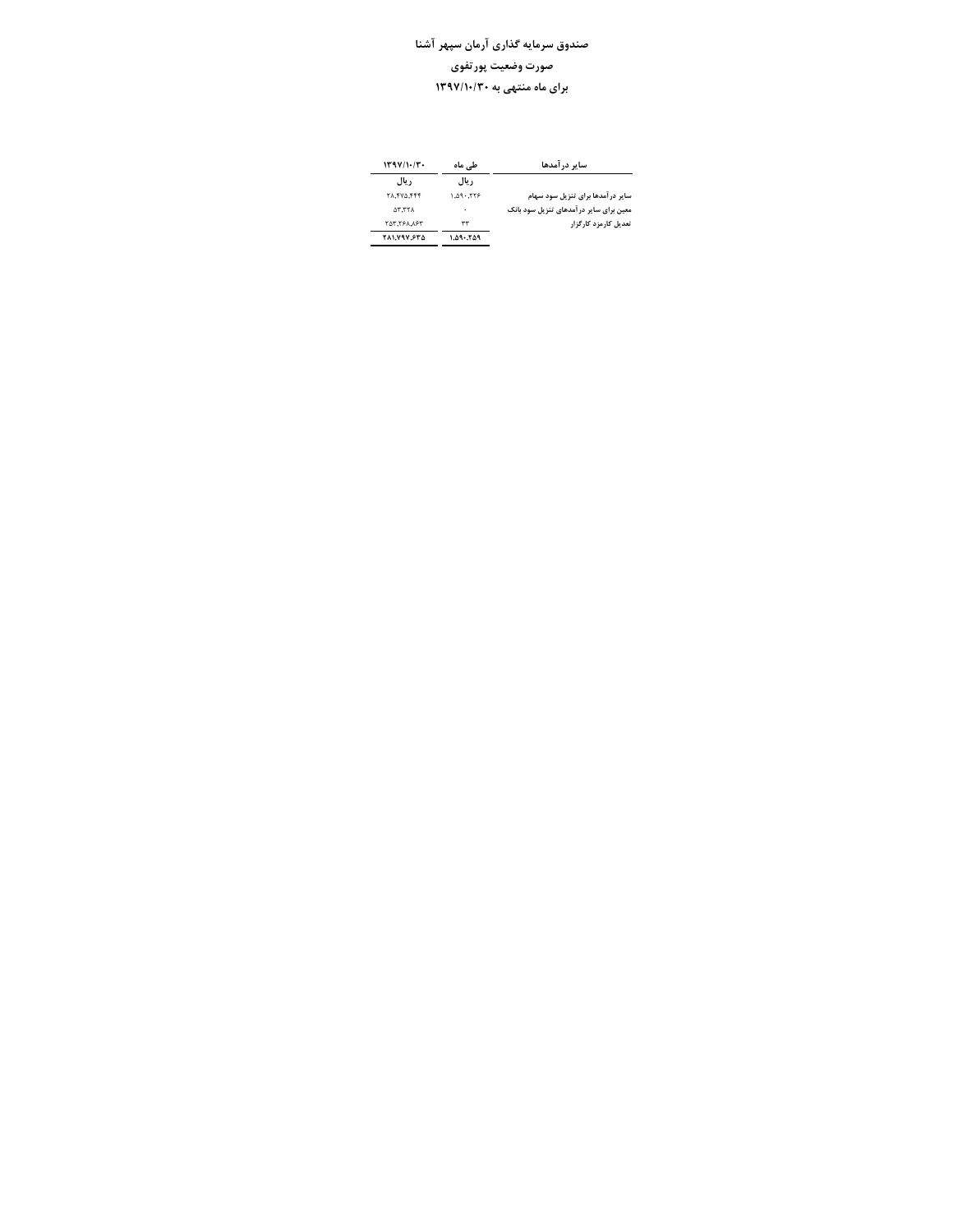| 119111.77.         | طے ،ماہ   | سایر در آمدها                           |  |  |  |
|--------------------|-----------|-----------------------------------------|--|--|--|
| د بال              | ريال      |                                         |  |  |  |
| <b>TA.FVQ.FFF</b>  | ۹۳۳٬۰۴۴ ( | سایر درآمدها برای تنزیل سود سهام        |  |  |  |
| 77.76              | ٠         | معین برای سایر در آمدهای تنزیل سود بانک |  |  |  |
| <b>TAT.TPA.APT</b> | ٣٣        | تعدیل کارمزد کارگزار                    |  |  |  |
| 281,797,875        | ۱.۵۹۰.۲۵۹ |                                         |  |  |  |